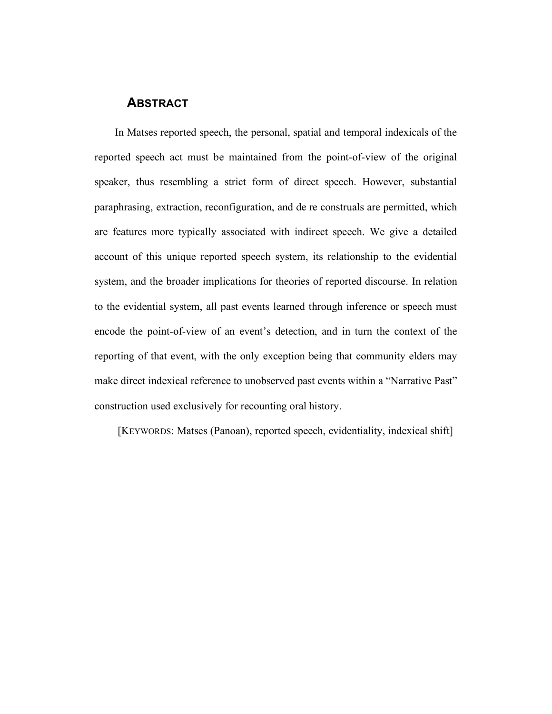#### **ABSTRACT**

In Matses reported speech, the personal, spatial and temporal indexicals of the reported speech act must be maintained from the point-of-view of the original speaker, thus resembling a strict form of direct speech. However, substantial paraphrasing, extraction, reconfiguration, and de re construals are permitted, which are features more typically associated with indirect speech. We give a detailed account of this unique reported speech system, its relationship to the evidential system, and the broader implications for theories of reported discourse. In relation to the evidential system, all past events learned through inference or speech must encode the point-of-view of an event's detection, and in turn the context of the reporting of that event, with the only exception being that community elders may make direct indexical reference to unobserved past events within a "Narrative Past" construction used exclusively for recounting oral history.

[KEYWORDS: Matses (Panoan), reported speech, evidentiality, indexical shift]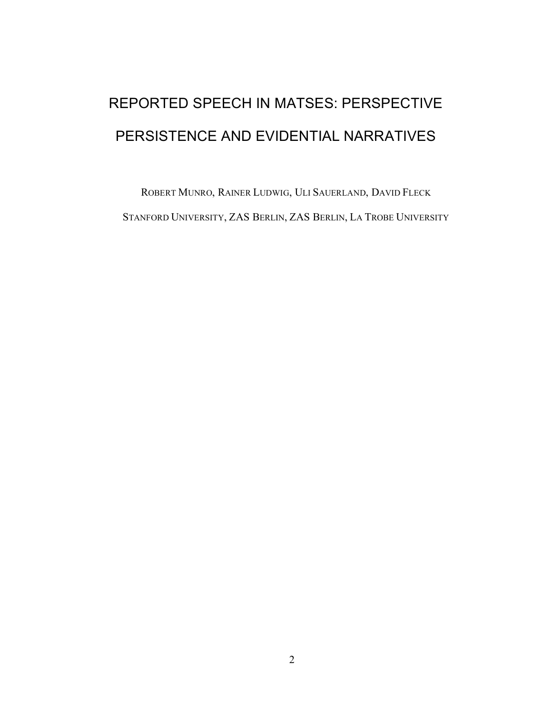# REPORTED SPEECH IN MATSES: PERSPECTIVE PERSISTENCE AND EVIDENTIAL NARRATIVES

ROBERT MUNRO, RAINER LUDWIG, ULI SAUERLAND, DAVID FLECK STANFORD UNIVERSITY, ZAS BERLIN, ZAS BERLIN, LA TROBE UNIVERSITY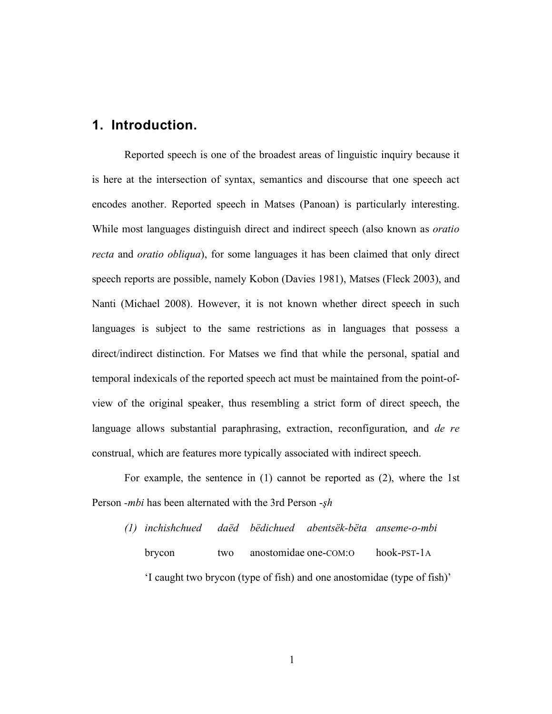## **1. Introduction.**

Reported speech is one of the broadest areas of linguistic inquiry because it is here at the intersection of syntax, semantics and discourse that one speech act encodes another. Reported speech in Matses (Panoan) is particularly interesting. While most languages distinguish direct and indirect speech (also known as *oratio recta* and *oratio obliqua*), for some languages it has been claimed that only direct speech reports are possible, namely Kobon (Davies 1981), Matses (Fleck 2003), and Nanti (Michael 2008). However, it is not known whether direct speech in such languages is subject to the same restrictions as in languages that possess a direct/indirect distinction. For Matses we find that while the personal, spatial and temporal indexicals of the reported speech act must be maintained from the point-ofview of the original speaker, thus resembling a strict form of direct speech, the language allows substantial paraphrasing, extraction, reconfiguration, and *de re*  construal, which are features more typically associated with indirect speech.

For example, the sentence in (1) cannot be reported as (2), where the 1st Person *-mbi* has been alternated with the 3rd Person *-sh* 

*(1) inchishchued daëd bëdichued abentsëk-bëta anseme-o-mbi* brycon two anostomidae one-COM:O hook-PST-1A 'I caught two brycon (type of fish) and one anostomidae (type of fish)'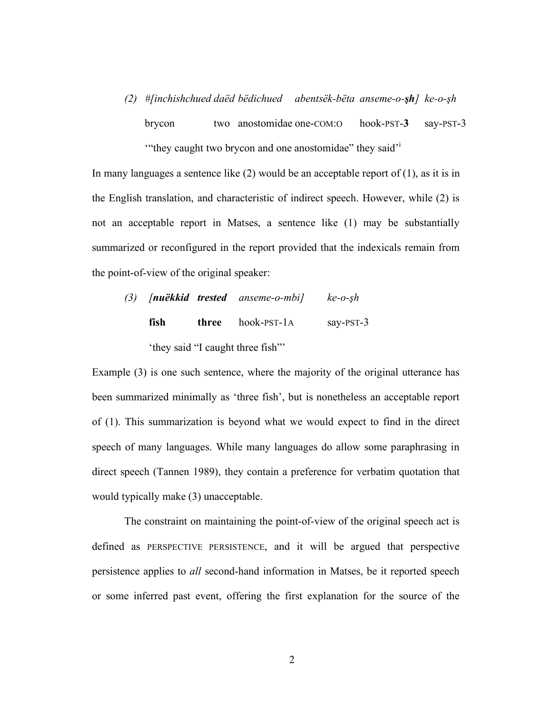*(2) #[inchishchued daëd bëdichued abentsëk-bëta anseme-o-!h] ke-o-!h*

brycon two anostomidae one-COM:O hook-PST-**3** say-PST-3 "they caught two brycon and one anostomidae" they said<sup>'</sup>

In many languages a sentence like  $(2)$  would be an acceptable report of  $(1)$ , as it is in the English translation, and characteristic of indirect speech. However, while (2) is not an acceptable report in Matses, a sentence like (1) may be substantially summarized or reconfigured in the report provided that the indexicals remain from the point-of-view of the original speaker:

| (3) |                                  |  | [ <b>nuëkkid trested</b> anseme-o-mbi] | $ke-0-sh$    |  |  |
|-----|----------------------------------|--|----------------------------------------|--------------|--|--|
|     | fish                             |  | <b>three</b> hook-PST-1A               | say- $PST-3$ |  |  |
|     | 'they said "I caught three fish" |  |                                        |              |  |  |

Example (3) is one such sentence, where the majority of the original utterance has been summarized minimally as 'three fish', but is nonetheless an acceptable report of (1). This summarization is beyond what we would expect to find in the direct speech of many languages. While many languages do allow some paraphrasing in direct speech (Tannen 1989), they contain a preference for verbatim quotation that would typically make (3) unacceptable.

The constraint on maintaining the point-of-view of the original speech act is defined as PERSPECTIVE PERSISTENCE, and it will be argued that perspective persistence applies to *all* second-hand information in Matses, be it reported speech or some inferred past event, offering the first explanation for the source of the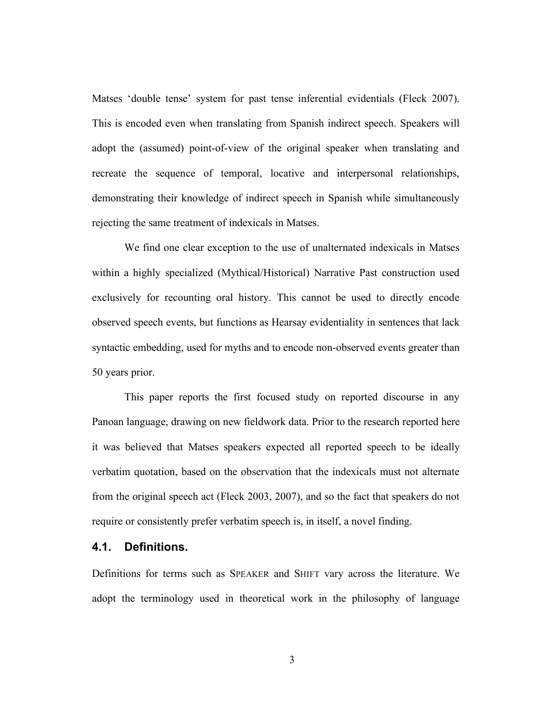Matses 'double tense' system for past tense inferential evidentials (Fleck 2007). This is encoded even when translating from Spanish indirect speech. Speakers will adopt the (assumed) point-of-view of the original speaker when translating and recreate the sequence of temporal, locative and interpersonal relationships, demonstrating their knowledge of indirect speech in Spanish while simultaneously rejecting the same treatment of indexicals in Matses.

We find one clear exception to the use of unalternated indexicals in Matses within a highly specialized (Mythical/Historical) Narrative Past construction used exclusively for recounting oral history. This cannot be used to directly encode observed speech events, but functions as Hearsay evidentiality in sentences that lack syntactic embedding, used for myths and to encode non-observed events greater than 50 years prior.

This paper reports the first focused study on reported discourse in any Panoan language, drawing on new fieldwork data. Prior to the research reported here it was believed that Matses speakers expected all reported speech to be ideally verbatim quotation, based on the observation that the indexicals must not alternate from the original speech act (Fleck 2003, 2007), and so the fact that speakers do not require or consistently prefer verbatim speech is, in itself, a novel finding.

#### **4.1. Definitions.**

Definitions for terms such as SPEAKER and SHIFT vary across the literature. We adopt the terminology used in theoretical work in the philosophy of language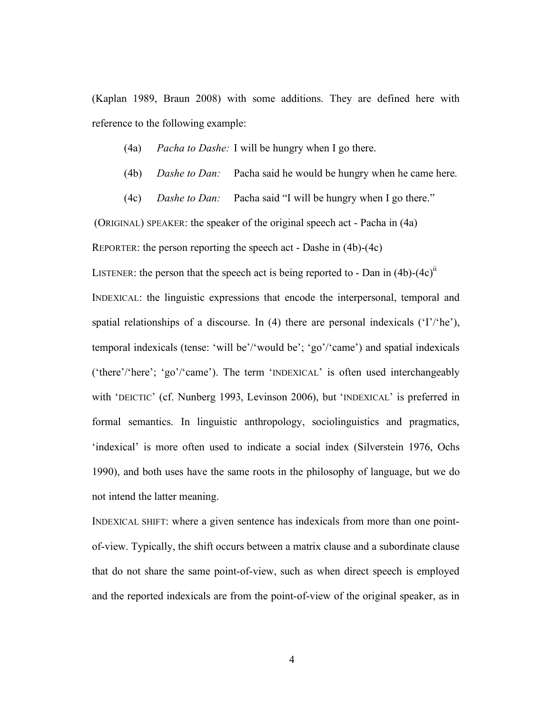(Kaplan 1989, Braun 2008) with some additions. They are defined here with reference to the following example:

(4a) *Pacha to Dashe:* I will be hungry when I go there.

(4b) *Dashe to Dan:* Pacha said he would be hungry when he came here.

(4c) *Dashe to Dan:* Pacha said "I will be hungry when I go there."

(ORIGINAL) SPEAKER: the speaker of the original speech act - Pacha in (4a)

REPORTER: the person reporting the speech act - Dashe in (4b)-(4c)

LISTENER: the person that the speech act is being reported to - Dan in  $(4b)-(4c)^{11}$ 

INDEXICAL: the linguistic expressions that encode the interpersonal, temporal and spatial relationships of a discourse. In  $(4)$  there are personal indexicals  $(T'/he)$ , temporal indexicals (tense: 'will be'/'would be'; 'go'/'came') and spatial indexicals ('there'/'here'; 'go'/'came'). The term 'INDEXICAL' is often used interchangeably with 'DEICTIC' (cf. Nunberg 1993, Levinson 2006), but 'INDEXICAL' is preferred in formal semantics. In linguistic anthropology, sociolinguistics and pragmatics, 'indexical' is more often used to indicate a social index (Silverstein 1976, Ochs 1990), and both uses have the same roots in the philosophy of language, but we do not intend the latter meaning.

INDEXICAL SHIFT: where a given sentence has indexicals from more than one pointof-view. Typically, the shift occurs between a matrix clause and a subordinate clause that do not share the same point-of-view, such as when direct speech is employed and the reported indexicals are from the point-of-view of the original speaker, as in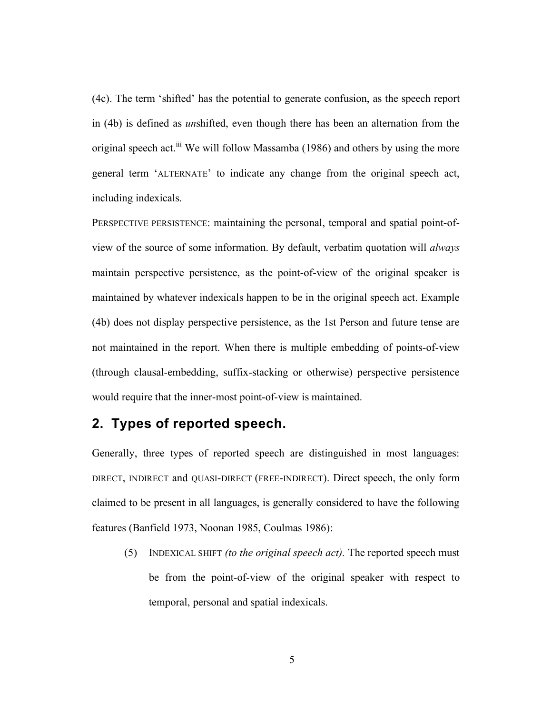(4c). The term 'shifted' has the potential to generate confusion, as the speech report in (4b) is defined as *un*shifted, even though there has been an alternation from the original speech act.<sup>iii</sup> We will follow Massamba (1986) and others by using the more general term 'ALTERNATE' to indicate any change from the original speech act, including indexicals.

PERSPECTIVE PERSISTENCE: maintaining the personal, temporal and spatial point-ofview of the source of some information. By default, verbatim quotation will *always* maintain perspective persistence, as the point-of-view of the original speaker is maintained by whatever indexicals happen to be in the original speech act. Example (4b) does not display perspective persistence, as the 1st Person and future tense are not maintained in the report. When there is multiple embedding of points-of-view (through clausal-embedding, suffix-stacking or otherwise) perspective persistence would require that the inner-most point-of-view is maintained.

# **2. Types of reported speech.**

Generally, three types of reported speech are distinguished in most languages: DIRECT, INDIRECT and QUASI-DIRECT (FREE-INDIRECT). Direct speech, the only form claimed to be present in all languages, is generally considered to have the following features (Banfield 1973, Noonan 1985, Coulmas 1986):

(5) INDEXICAL SHIFT *(to the original speech act).* The reported speech must be from the point-of-view of the original speaker with respect to temporal, personal and spatial indexicals.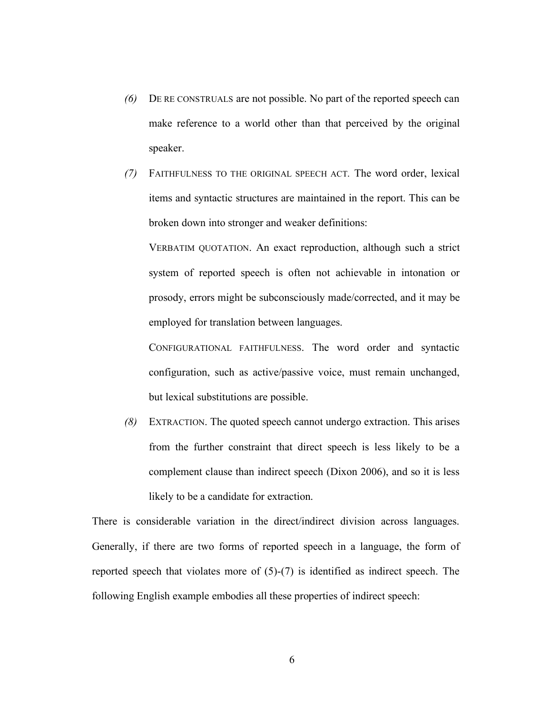- *(6)* DE RE CONSTRUALS are not possible. No part of the reported speech can make reference to a world other than that perceived by the original speaker.
- *(7)* FAITHFULNESS TO THE ORIGINAL SPEECH ACT*.* The word order, lexical items and syntactic structures are maintained in the report. This can be broken down into stronger and weaker definitions:

VERBATIM QUOTATION. An exact reproduction, although such a strict system of reported speech is often not achievable in intonation or prosody, errors might be subconsciously made/corrected, and it may be employed for translation between languages.

CONFIGURATIONAL FAITHFULNESS. The word order and syntactic configuration, such as active/passive voice, must remain unchanged, but lexical substitutions are possible.

*(8)* EXTRACTION. The quoted speech cannot undergo extraction. This arises from the further constraint that direct speech is less likely to be a complement clause than indirect speech (Dixon 2006), and so it is less likely to be a candidate for extraction.

There is considerable variation in the direct/indirect division across languages. Generally, if there are two forms of reported speech in a language, the form of reported speech that violates more of (5)-(7) is identified as indirect speech. The following English example embodies all these properties of indirect speech: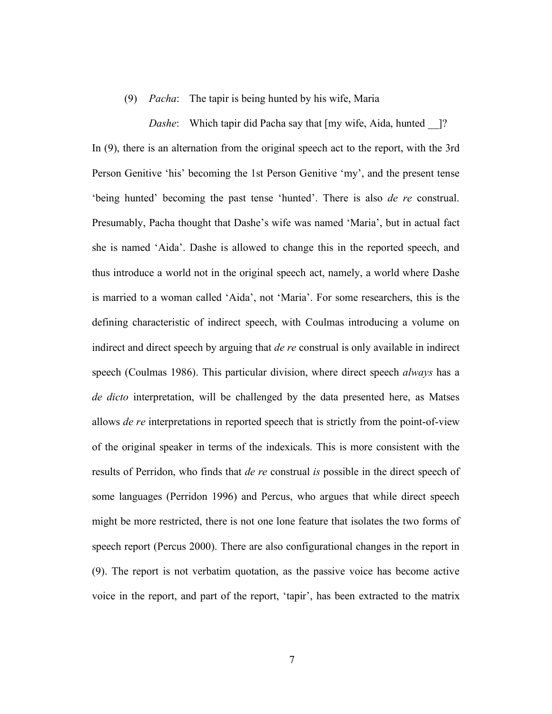#### (9) *Pacha*: The tapir is being hunted by his wife, Maria

*Dashe*: Which tapir did Pacha say that [my wife, Aida, hunted ]? In (9), there is an alternation from the original speech act to the report, with the 3rd Person Genitive 'his' becoming the 1st Person Genitive 'my', and the present tense 'being hunted' becoming the past tense 'hunted'. There is also *de re* construal. Presumably, Pacha thought that Dashe's wife was named 'Maria', but in actual fact she is named 'Aida'. Dashe is allowed to change this in the reported speech, and thus introduce a world not in the original speech act, namely, a world where Dashe is married to a woman called 'Aida', not 'Maria'. For some researchers, this is the defining characteristic of indirect speech, with Coulmas introducing a volume on indirect and direct speech by arguing that *de re* construal is only available in indirect speech (Coulmas 1986). This particular division, where direct speech *always* has a *de dicto* interpretation, will be challenged by the data presented here, as Matses allows *de re* interpretations in reported speech that is strictly from the point-of-view of the original speaker in terms of the indexicals. This is more consistent with the results of Perridon, who finds that *de re* construal *is* possible in the direct speech of some languages (Perridon 1996) and Percus, who argues that while direct speech might be more restricted, there is not one lone feature that isolates the two forms of speech report (Percus 2000). There are also configurational changes in the report in (9). The report is not verbatim quotation, as the passive voice has become active voice in the report, and part of the report, 'tapir', has been extracted to the matrix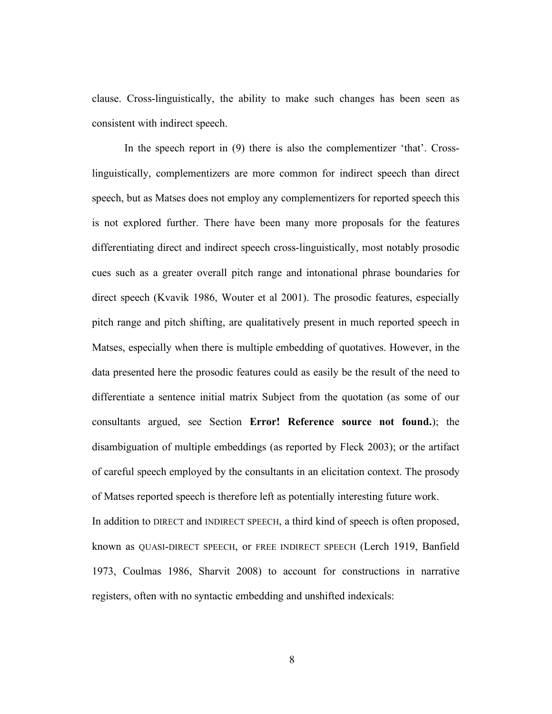clause. Cross-linguistically, the ability to make such changes has been seen as consistent with indirect speech.

In the speech report in (9) there is also the complementizer 'that'. Crosslinguistically, complementizers are more common for indirect speech than direct speech, but as Matses does not employ any complementizers for reported speech this is not explored further. There have been many more proposals for the features differentiating direct and indirect speech cross-linguistically, most notably prosodic cues such as a greater overall pitch range and intonational phrase boundaries for direct speech (Kvavik 1986, Wouter et al 2001). The prosodic features, especially pitch range and pitch shifting, are qualitatively present in much reported speech in Matses, especially when there is multiple embedding of quotatives. However, in the data presented here the prosodic features could as easily be the result of the need to differentiate a sentence initial matrix Subject from the quotation (as some of our consultants argued, see Section **Error! Reference source not found.**); the disambiguation of multiple embeddings (as reported by Fleck 2003); or the artifact of careful speech employed by the consultants in an elicitation context. The prosody of Matses reported speech is therefore left as potentially interesting future work. In addition to DIRECT and INDIRECT SPEECH, a third kind of speech is often proposed, known as QUASI-DIRECT SPEECH, or FREE INDIRECT SPEECH (Lerch 1919, Banfield 1973, Coulmas 1986, Sharvit 2008) to account for constructions in narrative registers, often with no syntactic embedding and unshifted indexicals: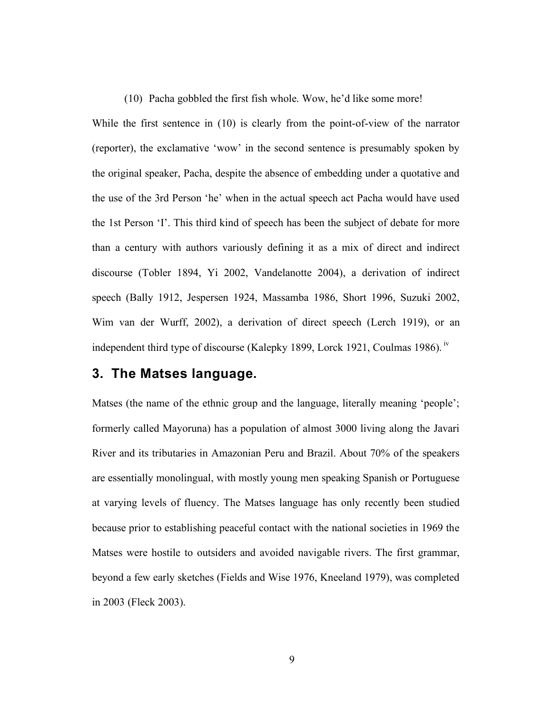(10) Pacha gobbled the first fish whole. Wow, he'd like some more!

While the first sentence in (10) is clearly from the point-of-view of the narrator (reporter), the exclamative 'wow' in the second sentence is presumably spoken by the original speaker, Pacha, despite the absence of embedding under a quotative and the use of the 3rd Person 'he' when in the actual speech act Pacha would have used the 1st Person 'I'. This third kind of speech has been the subject of debate for more than a century with authors variously defining it as a mix of direct and indirect discourse (Tobler 1894, Yi 2002, Vandelanotte 2004), a derivation of indirect speech (Bally 1912, Jespersen 1924, Massamba 1986, Short 1996, Suzuki 2002, Wim van der Wurff, 2002), a derivation of direct speech (Lerch 1919), or an independent third type of discourse (Kalepky 1899, Lorck 1921, Coulmas 1986). iv

## **3. The Matses language.**

Matses (the name of the ethnic group and the language, literally meaning 'people'; formerly called Mayoruna) has a population of almost 3000 living along the Javari River and its tributaries in Amazonian Peru and Brazil. About 70% of the speakers are essentially monolingual, with mostly young men speaking Spanish or Portuguese at varying levels of fluency. The Matses language has only recently been studied because prior to establishing peaceful contact with the national societies in 1969 the Matses were hostile to outsiders and avoided navigable rivers. The first grammar, beyond a few early sketches (Fields and Wise 1976, Kneeland 1979), was completed in 2003 (Fleck 2003).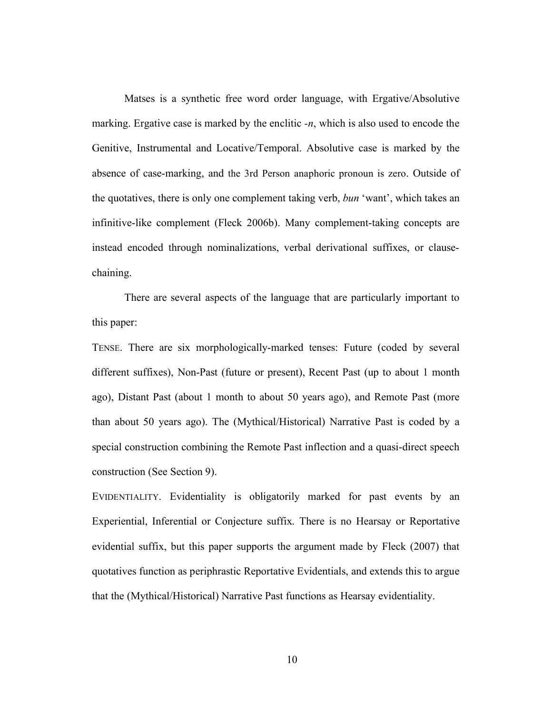Matses is a synthetic free word order language, with Ergative/Absolutive marking. Ergative case is marked by the enclitic *-n*, which is also used to encode the Genitive, Instrumental and Locative/Temporal. Absolutive case is marked by the absence of case-marking, and the 3rd Person anaphoric pronoun is zero. Outside of the quotatives, there is only one complement taking verb, *bun* 'want', which takes an infinitive-like complement (Fleck 2006b). Many complement-taking concepts are instead encoded through nominalizations, verbal derivational suffixes, or clausechaining.

There are several aspects of the language that are particularly important to this paper:

TENSE. There are six morphologically-marked tenses: Future (coded by several different suffixes), Non-Past (future or present), Recent Past (up to about 1 month ago), Distant Past (about 1 month to about 50 years ago), and Remote Past (more than about 50 years ago). The (Mythical/Historical) Narrative Past is coded by a special construction combining the Remote Past inflection and a quasi-direct speech construction (See Section 9).

EVIDENTIALITY. Evidentiality is obligatorily marked for past events by an Experiential, Inferential or Conjecture suffix. There is no Hearsay or Reportative evidential suffix, but this paper supports the argument made by Fleck (2007) that quotatives function as periphrastic Reportative Evidentials, and extends this to argue that the (Mythical/Historical) Narrative Past functions as Hearsay evidentiality.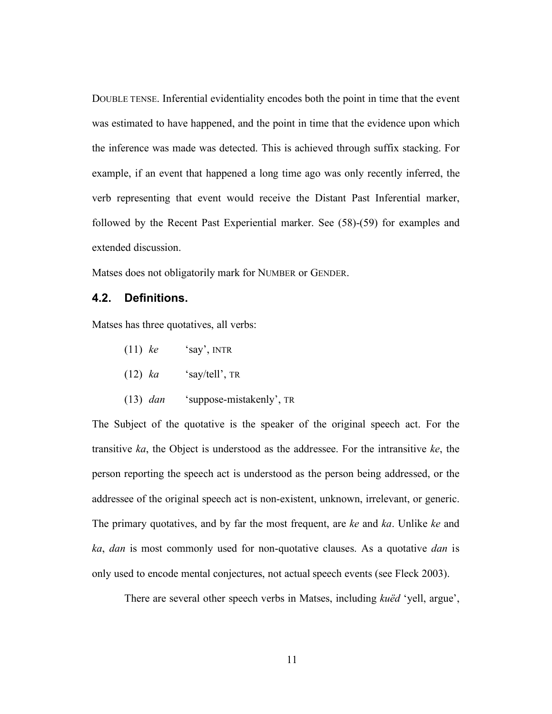DOUBLE TENSE. Inferential evidentiality encodes both the point in time that the event was estimated to have happened, and the point in time that the evidence upon which the inference was made was detected. This is achieved through suffix stacking. For example, if an event that happened a long time ago was only recently inferred, the verb representing that event would receive the Distant Past Inferential marker, followed by the Recent Past Experiential marker. See (58)-(59) for examples and extended discussion.

Matses does not obligatorily mark for NUMBER or GENDER.

#### **4.2. Definitions.**

Matses has three quotatives, all verbs:

- (11) *ke* 'say', INTR
- $(12)$  *ka* 'say/tell', TR
- (13) *dan* 'suppose-mistakenly', TR

The Subject of the quotative is the speaker of the original speech act. For the transitive *ka*, the Object is understood as the addressee. For the intransitive *ke*, the person reporting the speech act is understood as the person being addressed, or the addressee of the original speech act is non-existent, unknown, irrelevant, or generic. The primary quotatives, and by far the most frequent, are *ke* and *ka*. Unlike *ke* and *ka*, *dan* is most commonly used for non-quotative clauses. As a quotative *dan* is only used to encode mental conjectures, not actual speech events (see Fleck 2003).

There are several other speech verbs in Matses, including *kuëd* 'yell, argue',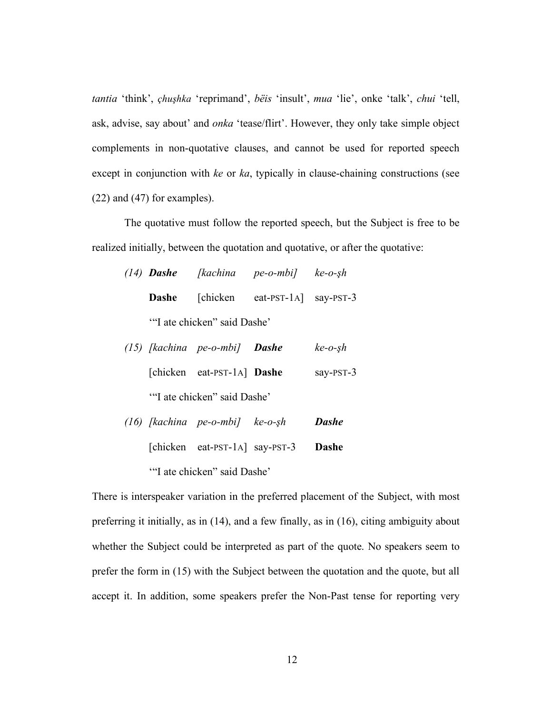*tantia* 'think', *çhu!hka* 'reprimand', *bëis* 'insult', *mua* 'lie', onke 'talk', *chui* 'tell, ask, advise, say about' and *onka* 'tease/flirt'. However, they only take simple object complements in non-quotative clauses, and cannot be used for reported speech except in conjunction with *ke* or *ka*, typically in clause-chaining constructions (see (22) and (47) for examples).

The quotative must follow the reported speech, but the Subject is free to be realized initially, between the quotation and quotative, or after the quotative:

|                             |  | $(14)$ <b>Dashe</b> [kachina pe-o-mbi] ke-o-şh |  |  |  |
|-----------------------------|--|------------------------------------------------|--|--|--|
|                             |  | <b>Dashe</b> [chicken eat-PST-1A] say-PST-3    |  |  |  |
| "I ate chicken" said Dashe" |  |                                                |  |  |  |

- *(15) [kachina pe-o-mbi] Dashe ke-o-!h* [chicken eat-PST-1A] **Dashe** say-PST-3 '"I ate chicken" said Dashe'
- *(16) [kachina pe-o-mbi] ke-o-!h Dashe* [chicken eat-PST-1A] say-PST-3 **Dashe** '"I ate chicken" said Dashe'

There is interspeaker variation in the preferred placement of the Subject, with most preferring it initially, as in (14), and a few finally, as in (16), citing ambiguity about whether the Subject could be interpreted as part of the quote. No speakers seem to prefer the form in (15) with the Subject between the quotation and the quote, but all accept it. In addition, some speakers prefer the Non-Past tense for reporting very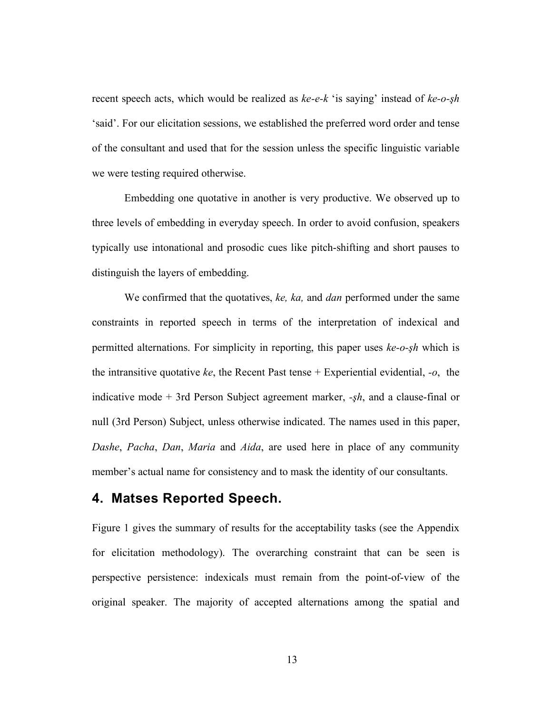recent speech acts, which would be realized as  $ke-e-k$  'is saying' instead of  $ke-o-<sub>5</sub>h$ 'said'. For our elicitation sessions, we established the preferred word order and tense of the consultant and used that for the session unless the specific linguistic variable we were testing required otherwise.

Embedding one quotative in another is very productive. We observed up to three levels of embedding in everyday speech. In order to avoid confusion, speakers typically use intonational and prosodic cues like pitch-shifting and short pauses to distinguish the layers of embedding.

We confirmed that the quotatives, *ke, ka,* and *dan* performed under the same constraints in reported speech in terms of the interpretation of indexical and permitted alternations. For simplicity in reporting, this paper uses *ke-o-!h* which is the intransitive quotative *ke*, the Recent Past tense + Experiential evidential, *-o*, the indicative mode  $+$  3rd Person Subject agreement marker,  $-\frac{h}{h}$ , and a clause-final or null (3rd Person) Subject, unless otherwise indicated. The names used in this paper, *Dashe*, *Pacha*, *Dan*, *Maria* and *Aida*, are used here in place of any community member's actual name for consistency and to mask the identity of our consultants.

## **4. Matses Reported Speech.**

Figure 1 gives the summary of results for the acceptability tasks (see the Appendix for elicitation methodology). The overarching constraint that can be seen is perspective persistence: indexicals must remain from the point-of-view of the original speaker. The majority of accepted alternations among the spatial and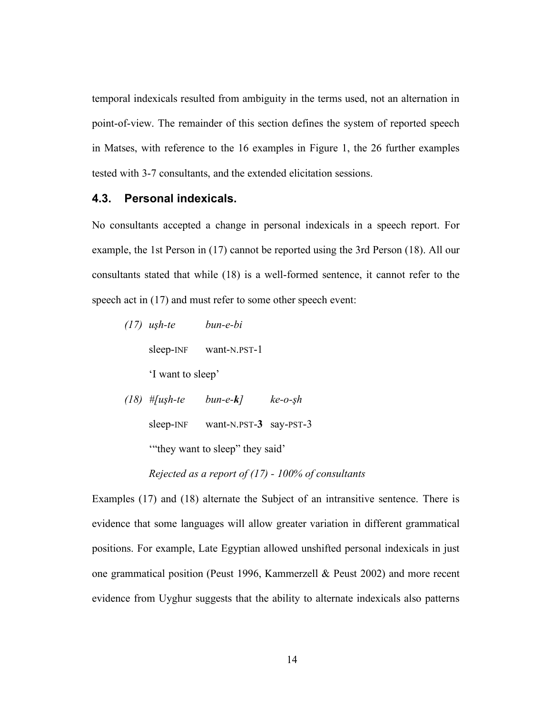temporal indexicals resulted from ambiguity in the terms used, not an alternation in point-of-view. The remainder of this section defines the system of reported speech in Matses, with reference to the 16 examples in Figure 1, the 26 further examples tested with 3-7 consultants, and the extended elicitation sessions.

#### **4.3. Personal indexicals.**

No consultants accepted a change in personal indexicals in a speech report. For example, the 1st Person in (17) cannot be reported using the 3rd Person (18). All our consultants stated that while (18) is a well-formed sentence, it cannot refer to the speech act in  $(17)$  and must refer to some other speech event:

| $(17)$ ush-te     | hun-e-hi        |         |
|-------------------|-----------------|---------|
| sleep-INF         | want-N.PST-1    |         |
| 'I want to sleep' |                 |         |
| $(18)$ # [ush-te  | $b$ un-e- $k$ ] | ke-o-şh |

sleep-INF want-N.PST-**3** say-PST-3

'"they want to sleep" they said'

*Rejected as a report of (17) - 100% of consultants*

Examples (17) and (18) alternate the Subject of an intransitive sentence. There is evidence that some languages will allow greater variation in different grammatical positions. For example, Late Egyptian allowed unshifted personal indexicals in just one grammatical position (Peust 1996, Kammerzell & Peust 2002) and more recent evidence from Uyghur suggests that the ability to alternate indexicals also patterns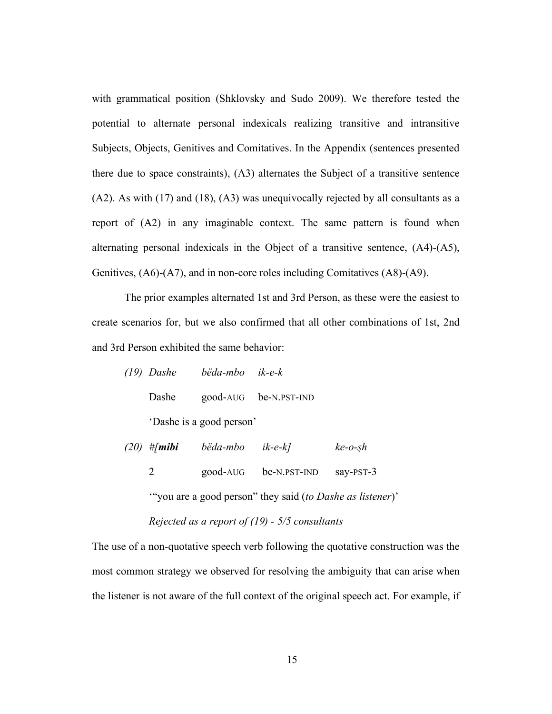with grammatical position (Shklovsky and Sudo 2009). We therefore tested the potential to alternate personal indexicals realizing transitive and intransitive Subjects, Objects, Genitives and Comitatives. In the Appendix (sentences presented there due to space constraints), (A3) alternates the Subject of a transitive sentence (A2). As with (17) and (18), (A3) was unequivocally rejected by all consultants as a report of (A2) in any imaginable context. The same pattern is found when alternating personal indexicals in the Object of a transitive sentence, (A4)-(A5), Genitives, (A6)-(A7), and in non-core roles including Comitatives (A8)-(A9).

The prior examples alternated 1st and 3rd Person, as these were the easiest to create scenarios for, but we also confirmed that all other combinations of 1st, 2nd and 3rd Person exhibited the same behavior:

|                          | (19) Dashe bëda-mbo ik-e-k |                             |  |  |  |
|--------------------------|----------------------------|-----------------------------|--|--|--|
|                          |                            | Dashe good-AUG be-N.PST-IND |  |  |  |
| 'Dashe is a good person' |                            |                             |  |  |  |

| $(20)$ # <i>mibi</i> | bëda-mbo ik-e-k] |                                 | $ke-$ o-sh |
|----------------------|------------------|---------------------------------|------------|
|                      |                  | good-AUG be-N.PST-IND say-PST-3 |            |

'"you are a good person" they said (*to Dashe as listener*)' *Rejected as a report of (19) - 5/5 consultants*

The use of a non-quotative speech verb following the quotative construction was the most common strategy we observed for resolving the ambiguity that can arise when the listener is not aware of the full context of the original speech act. For example, if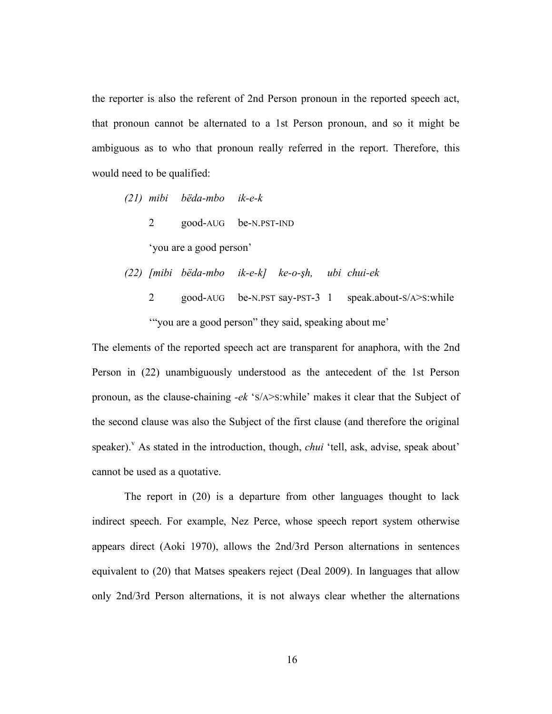the reporter is also the referent of 2nd Person pronoun in the reported speech act, that pronoun cannot be alternated to a 1st Person pronoun, and so it might be ambiguous as to who that pronoun really referred in the report. Therefore, this would need to be qualified:

- *(21) mibi bëda-mbo ik-e-k*
	- 2 good-AUG be-N.PST-IND

'you are a good person'

*(22) [mibi bëda-mbo ik-e-k] ke-o-!h, ubi chui-ek*

2 good-AUG be-N.PST say-PST-3 1 speak.about-S/A>S:while '"you are a good person" they said, speaking about me'

The elements of the reported speech act are transparent for anaphora, with the 2nd Person in (22) unambiguously understood as the antecedent of the 1st Person pronoun, as the clause-chaining *-ek* 'S/A>S:while' makes it clear that the Subject of the second clause was also the Subject of the first clause (and therefore the original speaker). As stated in the introduction, though, *chui* 'tell, ask, advise, speak about' cannot be used as a quotative.

The report in (20) is a departure from other languages thought to lack indirect speech. For example, Nez Perce, whose speech report system otherwise appears direct (Aoki 1970), allows the 2nd/3rd Person alternations in sentences equivalent to (20) that Matses speakers reject (Deal 2009). In languages that allow only 2nd/3rd Person alternations, it is not always clear whether the alternations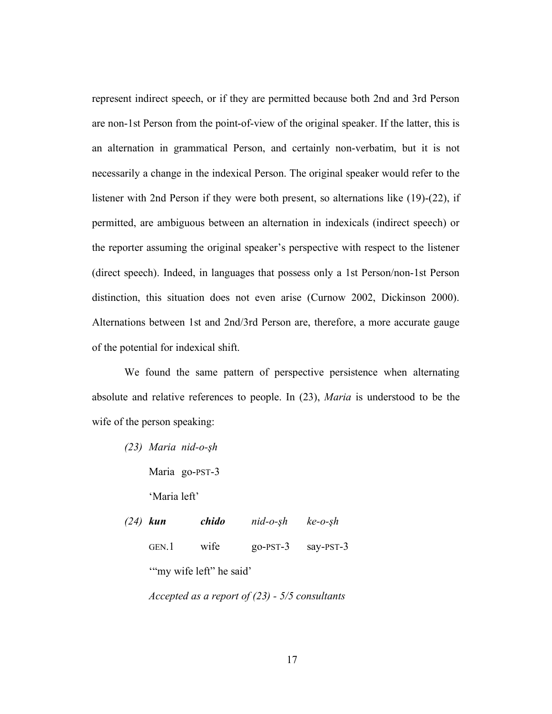represent indirect speech, or if they are permitted because both 2nd and 3rd Person are non-1st Person from the point-of-view of the original speaker. If the latter, this is an alternation in grammatical Person, and certainly non-verbatim, but it is not necessarily a change in the indexical Person. The original speaker would refer to the listener with 2nd Person if they were both present, so alternations like (19)-(22), if permitted, are ambiguous between an alternation in indexicals (indirect speech) or the reporter assuming the original speaker's perspective with respect to the listener (direct speech). Indeed, in languages that possess only a 1st Person/non-1st Person distinction, this situation does not even arise (Curnow 2002, Dickinson 2000). Alternations between 1st and 2nd/3rd Person are, therefore, a more accurate gauge of the potential for indexical shift.

We found the same pattern of perspective persistence when alternating absolute and relative references to people. In (23), *Maria* is understood to be the wife of the person speaking:

*(23) Maria nid-o-!h*

Maria go-PST-3

'Maria left'

*(24) kun chido nid-o-!h ke-o-!h* GEN.1 wife go-PST-3 say-PST-3 '"my wife left" he said'

*Accepted as a report of (23) - 5/5 consultants*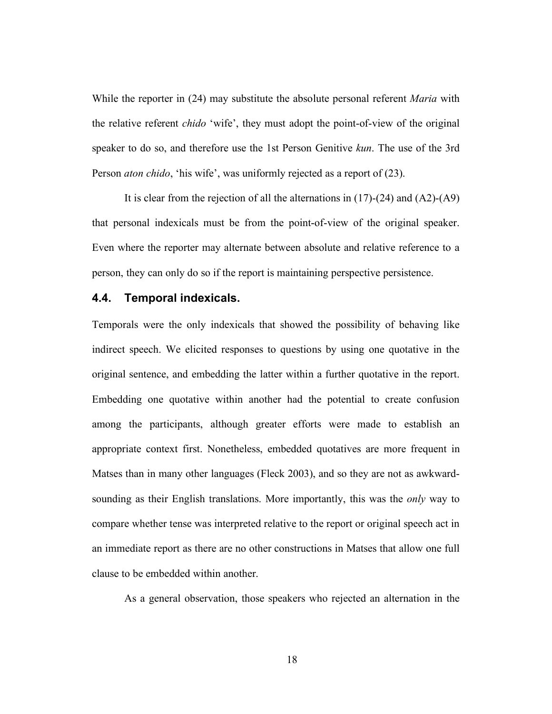While the reporter in (24) may substitute the absolute personal referent *Maria* with the relative referent *chido* 'wife', they must adopt the point-of-view of the original speaker to do so, and therefore use the 1st Person Genitive *kun*. The use of the 3rd Person *aton chido*, 'his wife', was uniformly rejected as a report of (23).

It is clear from the rejection of all the alternations in (17)-(24) and (A2)-(A9) that personal indexicals must be from the point-of-view of the original speaker. Even where the reporter may alternate between absolute and relative reference to a person, they can only do so if the report is maintaining perspective persistence.

#### **4.4. Temporal indexicals.**

Temporals were the only indexicals that showed the possibility of behaving like indirect speech. We elicited responses to questions by using one quotative in the original sentence, and embedding the latter within a further quotative in the report. Embedding one quotative within another had the potential to create confusion among the participants, although greater efforts were made to establish an appropriate context first. Nonetheless, embedded quotatives are more frequent in Matses than in many other languages (Fleck 2003), and so they are not as awkwardsounding as their English translations. More importantly, this was the *only* way to compare whether tense was interpreted relative to the report or original speech act in an immediate report as there are no other constructions in Matses that allow one full clause to be embedded within another.

As a general observation, those speakers who rejected an alternation in the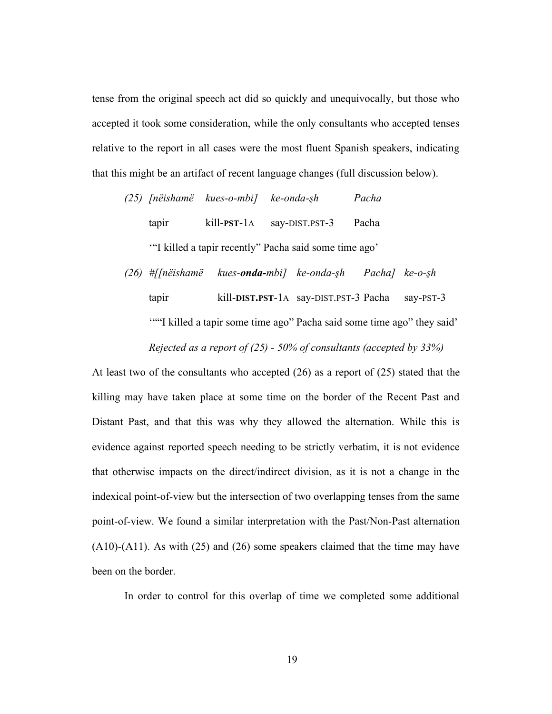tense from the original speech act did so quickly and unequivocally, but those who accepted it took some consideration, while the only consultants who accepted tenses relative to the report in all cases were the most fluent Spanish speakers, indicating that this might be an artifact of recent language changes (full discussion below).

*(25) [nëishamë kues-o-mbi] ke-onda-!h Pacha* tapir kill-**PST**-1A say-DIST.PST-3 Pacha '"I killed a tapir recently" Pacha said some time ago'

*(26) #[[nëishamë kues-onda-mbi] ke-onda-!h Pacha] ke-o-!h* tapir kill-**DIST.PST**-1A say-DIST.PST-3 Pacha say-PST-3 ""I killed a tapir some time ago" Pacha said some time ago" they said" *Rejected as a report of (25) - 50% of consultants (accepted by 33%)*

At least two of the consultants who accepted (26) as a report of (25) stated that the killing may have taken place at some time on the border of the Recent Past and Distant Past, and that this was why they allowed the alternation. While this is evidence against reported speech needing to be strictly verbatim, it is not evidence that otherwise impacts on the direct/indirect division, as it is not a change in the indexical point-of-view but the intersection of two overlapping tenses from the same point-of-view. We found a similar interpretation with the Past/Non-Past alternation (A10)-(A11). As with (25) and (26) some speakers claimed that the time may have been on the border.

In order to control for this overlap of time we completed some additional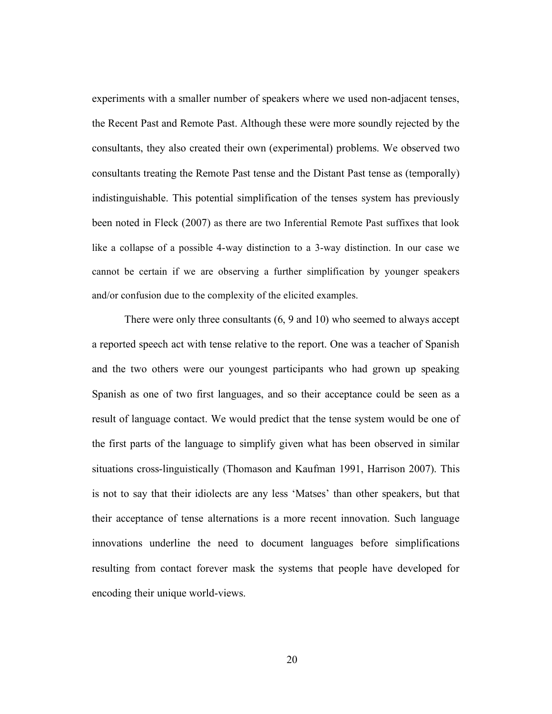experiments with a smaller number of speakers where we used non-adjacent tenses, the Recent Past and Remote Past. Although these were more soundly rejected by the consultants, they also created their own (experimental) problems. We observed two consultants treating the Remote Past tense and the Distant Past tense as (temporally) indistinguishable. This potential simplification of the tenses system has previously been noted in Fleck (2007) as there are two Inferential Remote Past suffixes that look like a collapse of a possible 4-way distinction to a 3-way distinction. In our case we cannot be certain if we are observing a further simplification by younger speakers and/or confusion due to the complexity of the elicited examples.

There were only three consultants (6, 9 and 10) who seemed to always accept a reported speech act with tense relative to the report. One was a teacher of Spanish and the two others were our youngest participants who had grown up speaking Spanish as one of two first languages, and so their acceptance could be seen as a result of language contact. We would predict that the tense system would be one of the first parts of the language to simplify given what has been observed in similar situations cross-linguistically (Thomason and Kaufman 1991, Harrison 2007). This is not to say that their idiolects are any less 'Matses' than other speakers, but that their acceptance of tense alternations is a more recent innovation. Such language innovations underline the need to document languages before simplifications resulting from contact forever mask the systems that people have developed for encoding their unique world-views.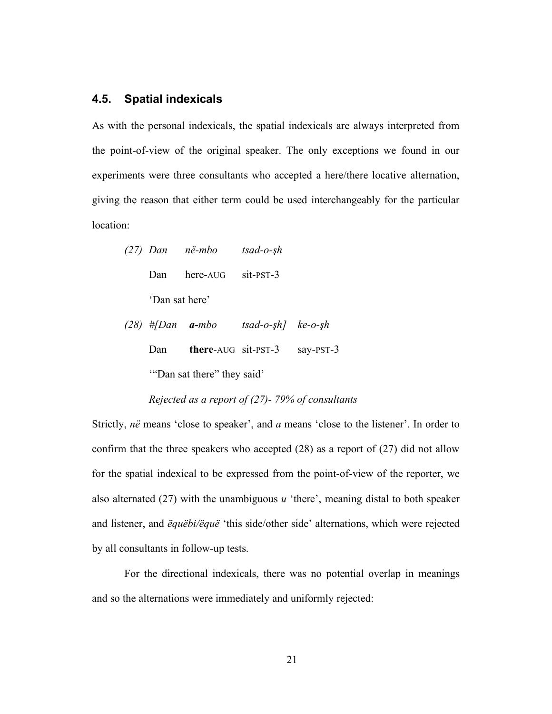#### **4.5. Spatial indexicals**

As with the personal indexicals, the spatial indexicals are always interpreted from the point-of-view of the original speaker. The only exceptions we found in our experiments were three consultants who accepted a here/there locative alternation, giving the reason that either term could be used interchangeably for the particular location:

|                | (27) Dan në-mbo        | $tsad-o-5h$ |
|----------------|------------------------|-------------|
|                | Dan here-AUG sit-PST-3 |             |
| 'Dan sat here' |                        |             |

 $(28)$  #[Dan  $a$ -mbo *tsad-o-sh*]  $ke$ -*o-sh* Dan **there**-AUG sit-PST-3 say-PST-3 '"Dan sat there" they said'

#### *Rejected as a report of (27)- 79% of consultants*

Strictly, *në* means 'close to speaker', and *a* means 'close to the listener'. In order to confirm that the three speakers who accepted (28) as a report of (27) did not allow for the spatial indexical to be expressed from the point-of-view of the reporter, we also alternated (27) with the unambiguous *u* 'there', meaning distal to both speaker and listener, and *ëquëbi/ëquë* 'this side/other side' alternations, which were rejected by all consultants in follow-up tests.

For the directional indexicals, there was no potential overlap in meanings and so the alternations were immediately and uniformly rejected: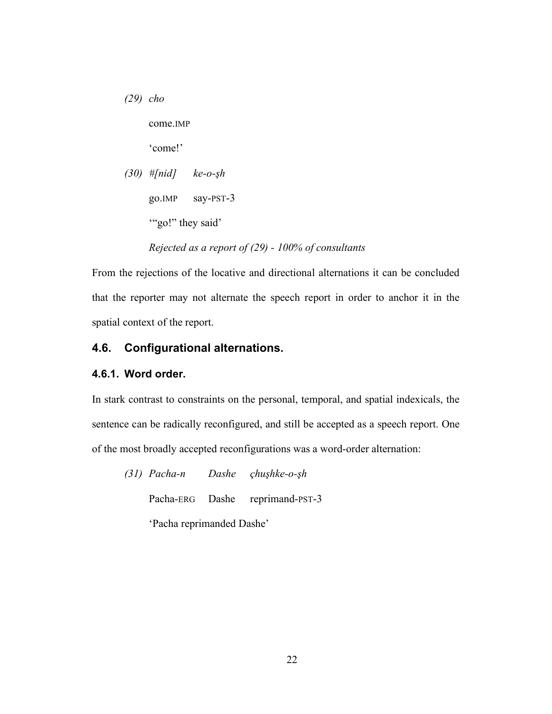*(29) cho* come.IMP 'come!' *(30) #[nid] ke-o-!h* go.IMP say-PST-3 "go!" they said'

*Rejected as a report of (29) - 100% of consultants*

From the rejections of the locative and directional alternations it can be concluded that the reporter may not alternate the speech report in order to anchor it in the spatial context of the report.

### **4.6. Configurational alternations.**

#### **4.6.1. Word order.**

In stark contrast to constraints on the personal, temporal, and spatial indexicals, the sentence can be radically reconfigured, and still be accepted as a speech report. One of the most broadly accepted reconfigurations was a word-order alternation:

*(31) Pacha-n Dashe çhu!hke-o-!h* Pacha-ERG Dashe reprimand-PST-3 'Pacha reprimanded Dashe'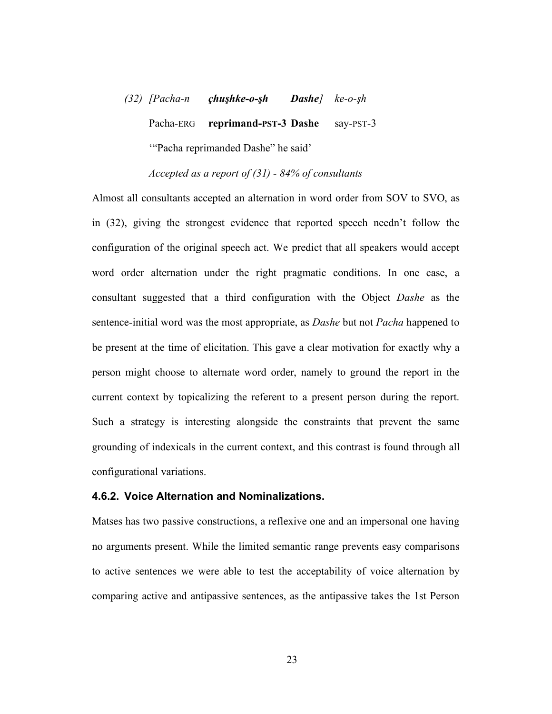$(32)$  *[Pacha-n <i>çhuşhke-o-şh Dashe]**ke-o-şh* Pacha-ERG **reprimand-PST-3 Dashe** say-PST-3 '"Pacha reprimanded Dashe" he said'

*Accepted as a report of (31) - 84% of consultants*

Almost all consultants accepted an alternation in word order from SOV to SVO, as in (32), giving the strongest evidence that reported speech needn't follow the configuration of the original speech act. We predict that all speakers would accept word order alternation under the right pragmatic conditions. In one case, a consultant suggested that a third configuration with the Object *Dashe* as the sentence-initial word was the most appropriate, as *Dashe* but not *Pacha* happened to be present at the time of elicitation. This gave a clear motivation for exactly why a person might choose to alternate word order, namely to ground the report in the current context by topicalizing the referent to a present person during the report. Such a strategy is interesting alongside the constraints that prevent the same grounding of indexicals in the current context, and this contrast is found through all configurational variations.

#### **4.6.2. Voice Alternation and Nominalizations.**

Matses has two passive constructions, a reflexive one and an impersonal one having no arguments present. While the limited semantic range prevents easy comparisons to active sentences we were able to test the acceptability of voice alternation by comparing active and antipassive sentences, as the antipassive takes the 1st Person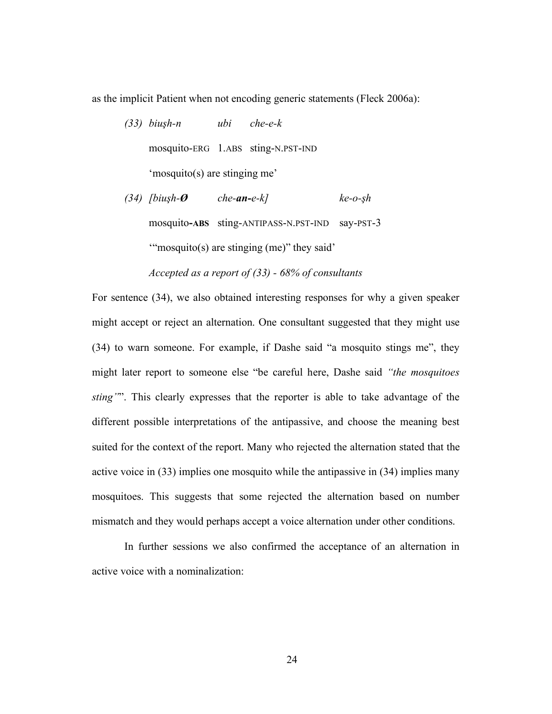as the implicit Patient when not encoding generic statements (Fleck 2006a):

*(33) biu!h-n ubi che-e-k* mosquito-ERG 1.ABS sting-N.PST-IND 'mosquito(s) are stinging me' *(34) [biush-* $\emptyset$  *che-an-e-k] ke-o-sh* 

'"mosquito(s) are stinging (me)" they said'

*Accepted as a report of (33) - 68% of consultants*

mosquito**-ABS** sting-ANTIPASS-N.PST-IND say-PST-3

For sentence (34), we also obtained interesting responses for why a given speaker might accept or reject an alternation. One consultant suggested that they might use (34) to warn someone. For example, if Dashe said "a mosquito stings me", they might later report to someone else "be careful here, Dashe said *"the mosquitoes sting"*". This clearly expresses that the reporter is able to take advantage of the different possible interpretations of the antipassive, and choose the meaning best suited for the context of the report. Many who rejected the alternation stated that the active voice in (33) implies one mosquito while the antipassive in (34) implies many mosquitoes. This suggests that some rejected the alternation based on number mismatch and they would perhaps accept a voice alternation under other conditions.

In further sessions we also confirmed the acceptance of an alternation in active voice with a nominalization: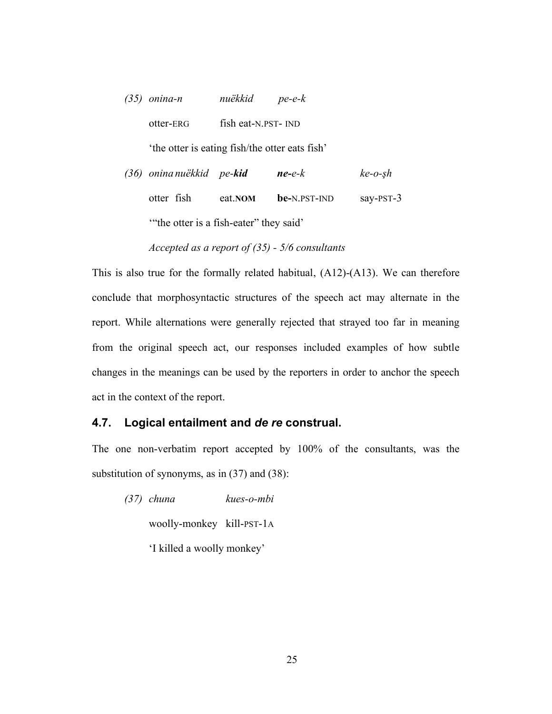| $(35)$ onina-n                                 | nuëkkid pe-e-k      |                  |           |
|------------------------------------------------|---------------------|------------------|-----------|
| otter-ERG                                      | fish eat-N.PST- IND |                  |           |
| 'the otter is eating fish/the otter eats fish' |                     |                  |           |
| (36) onina nuëkkid pe-kid                      |                     | $ne$ - $e$ - $k$ | $ke-0-sh$ |

| otter fish | eat.NOM                                | <b>be-</b> N.PST-IND | say-PST-3 |
|------------|----------------------------------------|----------------------|-----------|
|            | "the otter is a fish-eater" they said" |                      |           |

*Accepted as a report of (35) - 5/6 consultants*

This is also true for the formally related habitual, (A12)-(A13). We can therefore conclude that morphosyntactic structures of the speech act may alternate in the report. While alternations were generally rejected that strayed too far in meaning from the original speech act, our responses included examples of how subtle changes in the meanings can be used by the reporters in order to anchor the speech act in the context of the report.

## **4.7. Logical entailment and** *de re* **construal.**

The one non-verbatim report accepted by 100% of the consultants, was the substitution of synonyms, as in (37) and (38):

*(37) chuna kues-o-mbi* woolly-monkey kill-PST-1A 'I killed a woolly monkey'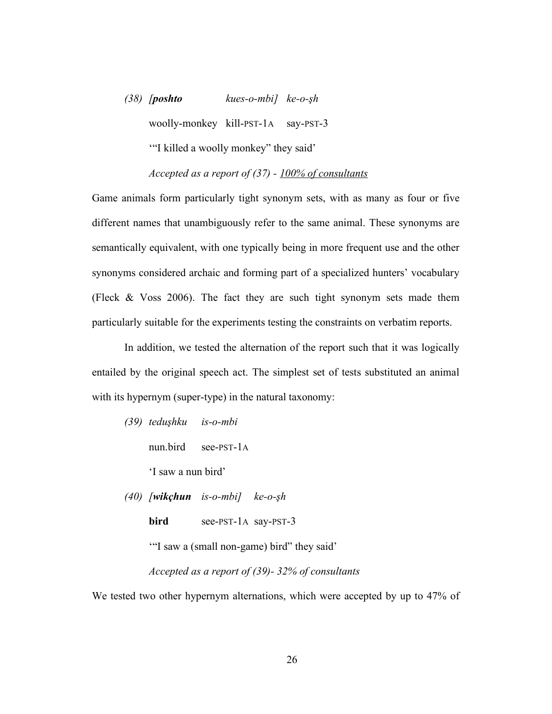*(38) [poshto kues-o-mbi] ke-o-!h* woolly-monkey kill-PST-1A say-PST-3 '"I killed a woolly monkey" they said'

*Accepted as a report of (37) - 100% of consultants*

Game animals form particularly tight synonym sets, with as many as four or five different names that unambiguously refer to the same animal. These synonyms are semantically equivalent, with one typically being in more frequent use and the other synonyms considered archaic and forming part of a specialized hunters' vocabulary (Fleck & Voss 2006). The fact they are such tight synonym sets made them particularly suitable for the experiments testing the constraints on verbatim reports.

In addition, we tested the alternation of the report such that it was logically entailed by the original speech act. The simplest set of tests substituted an animal with its hypernym (super-type) in the natural taxonomy:

- *(39) tedu!hku is-o-mbi*
	- nun.bird see-PST-1A
	- 'I saw a nun bird'
- $(40)$  *[wikçhun is-o-mbi] ke-o-şh* 
	- **bird** see-PST-1A say-PST-3

'"I saw a (small non-game) bird" they said'

*Accepted as a report of (39)- 32% of consultants*

We tested two other hypernym alternations, which were accepted by up to 47% of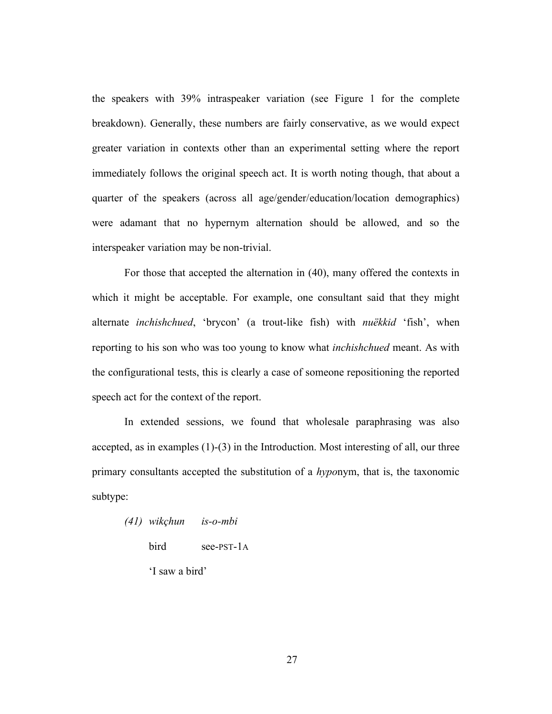the speakers with 39% intraspeaker variation (see Figure 1 for the complete breakdown). Generally, these numbers are fairly conservative, as we would expect greater variation in contexts other than an experimental setting where the report immediately follows the original speech act. It is worth noting though, that about a quarter of the speakers (across all age/gender/education/location demographics) were adamant that no hypernym alternation should be allowed, and so the interspeaker variation may be non-trivial.

For those that accepted the alternation in (40), many offered the contexts in which it might be acceptable. For example, one consultant said that they might alternate *inchishchued*, 'brycon' (a trout-like fish) with *nuëkkid* 'fish', when reporting to his son who was too young to know what *inchishchued* meant. As with the configurational tests, this is clearly a case of someone repositioning the reported speech act for the context of the report.

In extended sessions, we found that wholesale paraphrasing was also accepted, as in examples (1)-(3) in the Introduction. Most interesting of all, our three primary consultants accepted the substitution of a *hypo*nym, that is, the taxonomic subtype:

| (41) wikçhun   | $is$ - $o$ - $mbi$ |
|----------------|--------------------|
| bird           | $see-PST-1A$       |
| 'I saw a bird' |                    |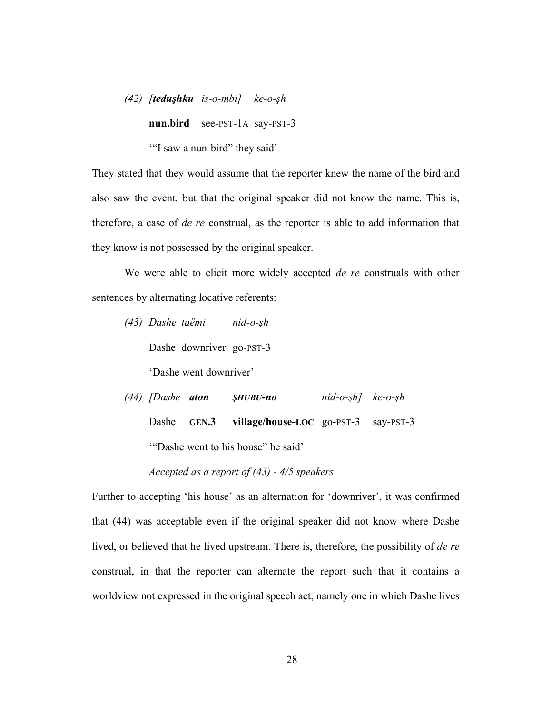$(42)$  *[teduşhku is-o-mbi] ke-o-şh* 

**nun.bird** see-PST-1A say-PST-3

'"I saw a nun-bird" they said'

They stated that they would assume that the reporter knew the name of the bird and also saw the event, but that the original speaker did not know the name. This is, therefore, a case of *de re* construal, as the reporter is able to add information that they know is not possessed by the original speaker.

We were able to elicit more widely accepted *de re* construals with other sentences by alternating locative referents:

*(43) Dashe taëmi nid-o-!h*

Dashe downriver go-PST-3

'Dashe went downriver'

 $(44)$  *[Dashe aton SHUBU-no nid-o-sh] ke-o-sh* Dashe **GEN.3 village/house-LOC** go-PST-3 say-PST-3 '"Dashe went to his house" he said'

Further to accepting 'his house' as an alternation for 'downriver', it was confirmed that (44) was acceptable even if the original speaker did not know where Dashe lived, or believed that he lived upstream. There is, therefore, the possibility of *de re*  construal, in that the reporter can alternate the report such that it contains a worldview not expressed in the original speech act, namely one in which Dashe lives

*Accepted as a report of (43) - 4/5 speakers*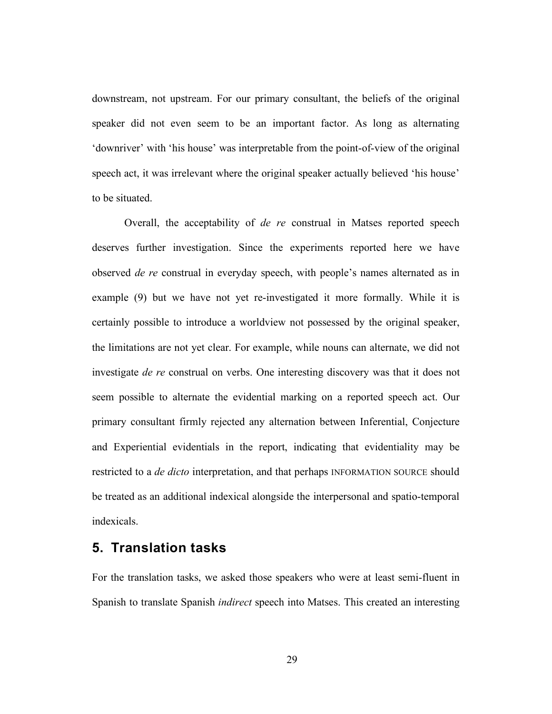downstream, not upstream. For our primary consultant, the beliefs of the original speaker did not even seem to be an important factor. As long as alternating 'downriver' with 'his house' was interpretable from the point-of-view of the original speech act, it was irrelevant where the original speaker actually believed 'his house' to be situated.

Overall, the acceptability of *de re* construal in Matses reported speech deserves further investigation. Since the experiments reported here we have observed *de re* construal in everyday speech, with people's names alternated as in example (9) but we have not yet re-investigated it more formally. While it is certainly possible to introduce a worldview not possessed by the original speaker, the limitations are not yet clear. For example, while nouns can alternate, we did not investigate *de re* construal on verbs. One interesting discovery was that it does not seem possible to alternate the evidential marking on a reported speech act. Our primary consultant firmly rejected any alternation between Inferential, Conjecture and Experiential evidentials in the report, indicating that evidentiality may be restricted to a *de dicto* interpretation, and that perhaps INFORMATION SOURCE should be treated as an additional indexical alongside the interpersonal and spatio-temporal indexicals.

## **5. Translation tasks**

For the translation tasks, we asked those speakers who were at least semi-fluent in Spanish to translate Spanish *indirect* speech into Matses. This created an interesting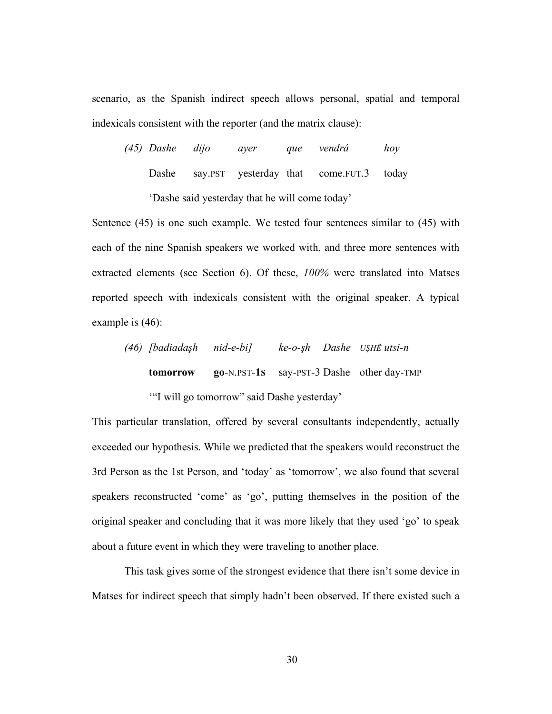scenario, as the Spanish indirect speech allows personal, spatial and temporal indexicals consistent with the reporter (and the matrix clause):

*(45) Dashe dijo ayer que vendrá hoy* Dashe say.PST yesterday that come.FUT.3 today 'Dashe said yesterday that he will come today'

Sentence (45) is one such example. We tested four sentences similar to (45) with each of the nine Spanish speakers we worked with, and three more sentences with extracted elements (see Section 6). Of these, *100%* were translated into Matses reported speech with indexicals consistent with the original speaker. A typical example is (46):

*(46) [badiada!h nid-e-bi] ke-o-!h Dashe U"HË utsi-n* **tomorrow go**-N.PST-**1S** say-PST-3 Dashe other day-TMP '"I will go tomorrow" said Dashe yesterday'

This particular translation, offered by several consultants independently, actually exceeded our hypothesis. While we predicted that the speakers would reconstruct the 3rd Person as the 1st Person, and 'today' as 'tomorrow', we also found that several speakers reconstructed 'come' as 'go', putting themselves in the position of the original speaker and concluding that it was more likely that they used 'go' to speak about a future event in which they were traveling to another place.

This task gives some of the strongest evidence that there isn't some device in Matses for indirect speech that simply hadn't been observed. If there existed such a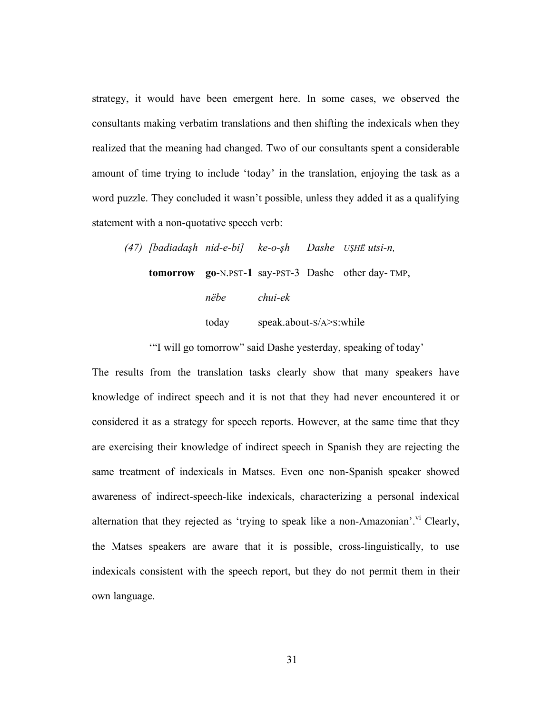strategy, it would have been emergent here. In some cases, we observed the consultants making verbatim translations and then shifting the indexicals when they realized that the meaning had changed. Two of our consultants spent a considerable amount of time trying to include 'today' in the translation, enjoying the task as a word puzzle. They concluded it wasn't possible, unless they added it as a qualifying statement with a non-quotative speech verb:

*(47) [badiada!h nid-e-bi] ke-o-!h Dashe U"HË utsi-n,* **tomorrow go**-N.PST-**1** say-PST-3 Dashe other day- TMP, *nëbe chui-ek* today speak.about-S/A>S:while

'"I will go tomorrow" said Dashe yesterday, speaking of today'

The results from the translation tasks clearly show that many speakers have knowledge of indirect speech and it is not that they had never encountered it or considered it as a strategy for speech reports. However, at the same time that they are exercising their knowledge of indirect speech in Spanish they are rejecting the same treatment of indexicals in Matses. Even one non-Spanish speaker showed awareness of indirect-speech-like indexicals, characterizing a personal indexical alternation that they rejected as 'trying to speak like a non-Amazonian'.<sup>vi</sup> Clearly, the Matses speakers are aware that it is possible, cross-linguistically, to use indexicals consistent with the speech report, but they do not permit them in their own language.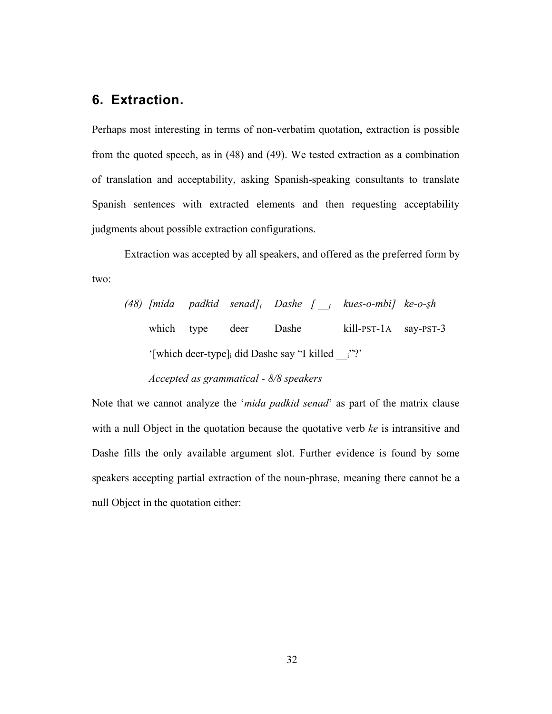# **6. Extraction.**

Perhaps most interesting in terms of non-verbatim quotation, extraction is possible from the quoted speech, as in (48) and (49). We tested extraction as a combination of translation and acceptability, asking Spanish-speaking consultants to translate Spanish sentences with extracted elements and then requesting acceptability judgments about possible extraction configurations.

Extraction was accepted by all speakers, and offered as the preferred form by two:

*(48) [mida padkid senad]i Dashe [ \_\_i kues-o-mbi] ke-o-!h* which type deer Dashe kill-PST-1A say-PST-3 '[which deer-type]i did Dashe say "I killed \_\_i"?'

*Accepted as grammatical - 8/8 speakers*

Note that we cannot analyze the '*mida padkid senad*' as part of the matrix clause with a null Object in the quotation because the quotative verb *ke* is intransitive and Dashe fills the only available argument slot. Further evidence is found by some speakers accepting partial extraction of the noun-phrase, meaning there cannot be a null Object in the quotation either: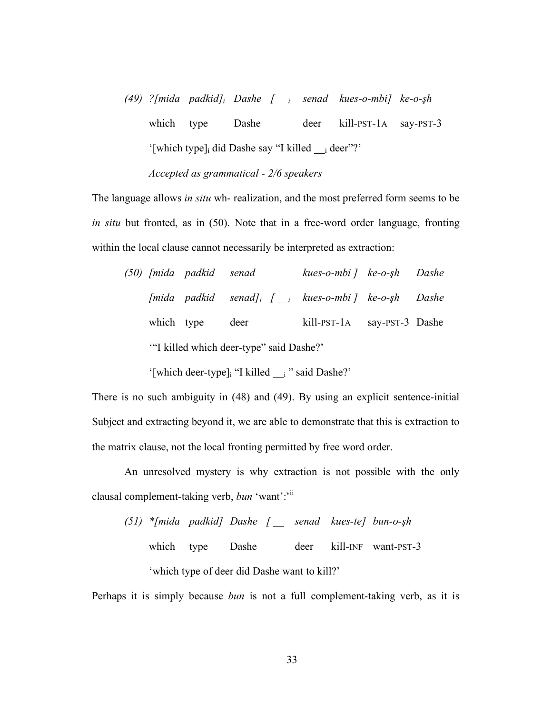*(49) ?[mida padkid]i Dashe [ \_\_i senad kues-o-mbi] ke-o-!h* which type Dashe deer kill-PST-1A say-PST-3 '[which type] did Dashe say "I killed i deer"?' *Accepted as grammatical - 2/6 speakers*

The language allows *in situ* wh- realization, and the most preferred form seems to be *in situ* but fronted, as in (50). Note that in a free-word order language, fronting within the local clause cannot necessarily be interpreted as extraction:

|                                         | (50) [mida padkid senad |                                                                     | kues-o-mbi ] ke-o-şh Dashe  |  |  |
|-----------------------------------------|-------------------------|---------------------------------------------------------------------|-----------------------------|--|--|
|                                         |                         | [mida padkid senad] <sub>i</sub> [ $\mu$ kues-o-mbi ] ke-o-sh Dashe |                             |  |  |
| which type                              |                         | deer                                                                | kill-PST-1A say-PST-3 Dashe |  |  |
| "I killed which deer-type" said Dashe?" |                         |                                                                     |                             |  |  |

'[which deer-type]<sub>i</sub> "I killed i " said Dashe?'

There is no such ambiguity in (48) and (49). By using an explicit sentence-initial Subject and extracting beyond it, we are able to demonstrate that this is extraction to the matrix clause, not the local fronting permitted by free word order.

An unresolved mystery is why extraction is not possible with the only clausal complement-taking verb, *bun* 'want':<sup>vii</sup>

*(51) \*[mida padkid] Dashe [ \_\_ senad kues-te] bun-o-!h* which type Dashe deer kill-INF want-PST-3 'which type of deer did Dashe want to kill?'

Perhaps it is simply because *bun* is not a full complement-taking verb, as it is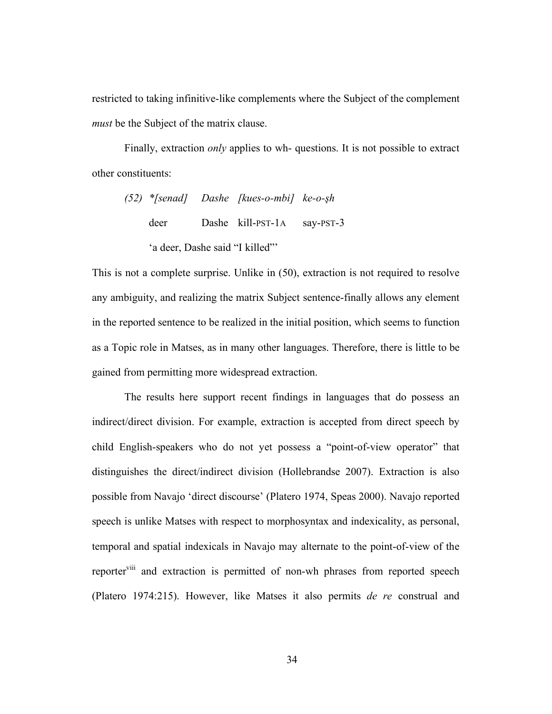restricted to taking infinitive-like complements where the Subject of the complement *must* be the Subject of the matrix clause.

Finally, extraction *only* applies to wh- questions. It is not possible to extract other constituents:

|                                |  | (52) *[senad] Dashe [kues-o-mbi] ke-o-şh |  |  |  |  |
|--------------------------------|--|------------------------------------------|--|--|--|--|
| deer                           |  | Dashe kill-PST-1A say-PST-3              |  |  |  |  |
| 'a deer, Dashe said "I killed" |  |                                          |  |  |  |  |

This is not a complete surprise. Unlike in (50), extraction is not required to resolve any ambiguity, and realizing the matrix Subject sentence-finally allows any element in the reported sentence to be realized in the initial position, which seems to function as a Topic role in Matses, as in many other languages. Therefore, there is little to be gained from permitting more widespread extraction.

The results here support recent findings in languages that do possess an indirect/direct division. For example, extraction is accepted from direct speech by child English-speakers who do not yet possess a "point-of-view operator" that distinguishes the direct/indirect division (Hollebrandse 2007). Extraction is also possible from Navajo 'direct discourse' (Platero 1974, Speas 2000). Navajo reported speech is unlike Matses with respect to morphosyntax and indexicality, as personal, temporal and spatial indexicals in Navajo may alternate to the point-of-view of the reporter<sup>viii</sup> and extraction is permitted of non-wh phrases from reported speech (Platero 1974:215). However, like Matses it also permits *de re* construal and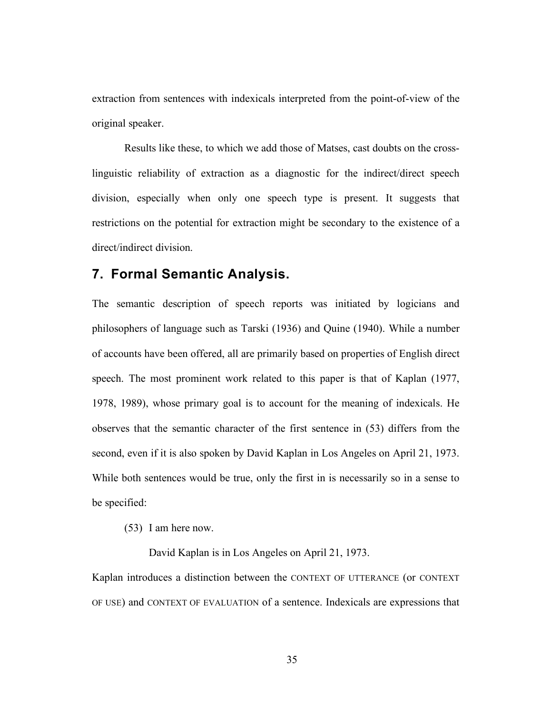extraction from sentences with indexicals interpreted from the point-of-view of the original speaker.

Results like these, to which we add those of Matses, cast doubts on the crosslinguistic reliability of extraction as a diagnostic for the indirect/direct speech division, especially when only one speech type is present. It suggests that restrictions on the potential for extraction might be secondary to the existence of a direct/indirect division.

## **7. Formal Semantic Analysis.**

The semantic description of speech reports was initiated by logicians and philosophers of language such as Tarski (1936) and Quine (1940). While a number of accounts have been offered, all are primarily based on properties of English direct speech. The most prominent work related to this paper is that of Kaplan (1977, 1978, 1989), whose primary goal is to account for the meaning of indexicals. He observes that the semantic character of the first sentence in (53) differs from the second, even if it is also spoken by David Kaplan in Los Angeles on April 21, 1973. While both sentences would be true, only the first in is necessarily so in a sense to be specified:

(53) I am here now.

David Kaplan is in Los Angeles on April 21, 1973.

Kaplan introduces a distinction between the CONTEXT OF UTTERANCE (or CONTEXT OF USE) and CONTEXT OF EVALUATION of a sentence. Indexicals are expressions that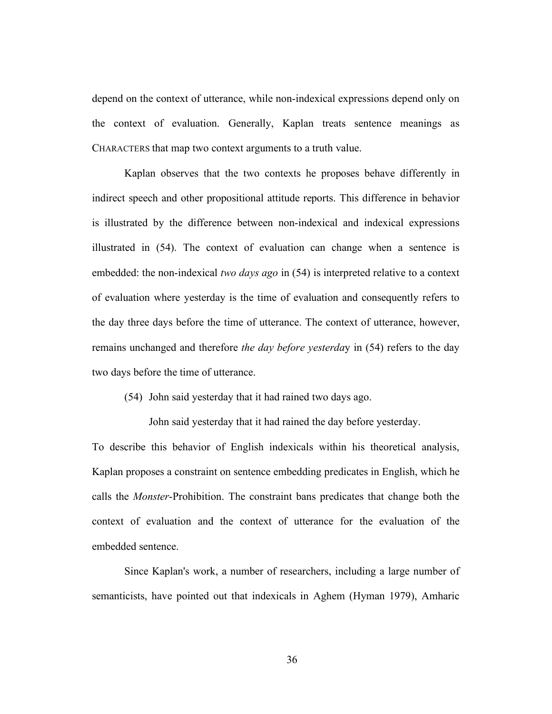depend on the context of utterance, while non-indexical expressions depend only on the context of evaluation. Generally, Kaplan treats sentence meanings as CHARACTERS that map two context arguments to a truth value.

Kaplan observes that the two contexts he proposes behave differently in indirect speech and other propositional attitude reports. This difference in behavior is illustrated by the difference between non-indexical and indexical expressions illustrated in (54). The context of evaluation can change when a sentence is embedded: the non-indexical *two days ago* in (54) is interpreted relative to a context of evaluation where yesterday is the time of evaluation and consequently refers to the day three days before the time of utterance. The context of utterance, however, remains unchanged and therefore *the day before yesterda*y in (54) refers to the day two days before the time of utterance.

(54) John said yesterday that it had rained two days ago.

John said yesterday that it had rained the day before yesterday.

To describe this behavior of English indexicals within his theoretical analysis, Kaplan proposes a constraint on sentence embedding predicates in English, which he calls the *Monster*-Prohibition. The constraint bans predicates that change both the context of evaluation and the context of utterance for the evaluation of the embedded sentence.

Since Kaplan's work, a number of researchers, including a large number of semanticists, have pointed out that indexicals in Aghem (Hyman 1979), Amharic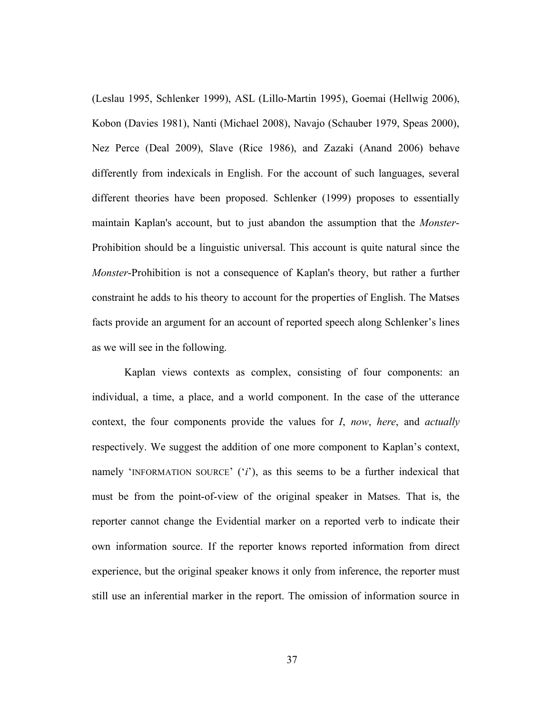(Leslau 1995, Schlenker 1999), ASL (Lillo-Martin 1995), Goemai (Hellwig 2006), Kobon (Davies 1981), Nanti (Michael 2008), Navajo (Schauber 1979, Speas 2000), Nez Perce (Deal 2009), Slave (Rice 1986), and Zazaki (Anand 2006) behave differently from indexicals in English. For the account of such languages, several different theories have been proposed. Schlenker (1999) proposes to essentially maintain Kaplan's account, but to just abandon the assumption that the *Monster*-Prohibition should be a linguistic universal. This account is quite natural since the *Monster*-Prohibition is not a consequence of Kaplan's theory, but rather a further constraint he adds to his theory to account for the properties of English. The Matses facts provide an argument for an account of reported speech along Schlenker's lines as we will see in the following.

Kaplan views contexts as complex, consisting of four components: an individual, a time, a place, and a world component. In the case of the utterance context, the four components provide the values for *I*, *now*, *here*, and *actually* respectively. We suggest the addition of one more component to Kaplan's context, namely 'INFORMATION SOURCE' ('*i*'), as this seems to be a further indexical that must be from the point-of-view of the original speaker in Matses. That is, the reporter cannot change the Evidential marker on a reported verb to indicate their own information source. If the reporter knows reported information from direct experience, but the original speaker knows it only from inference, the reporter must still use an inferential marker in the report. The omission of information source in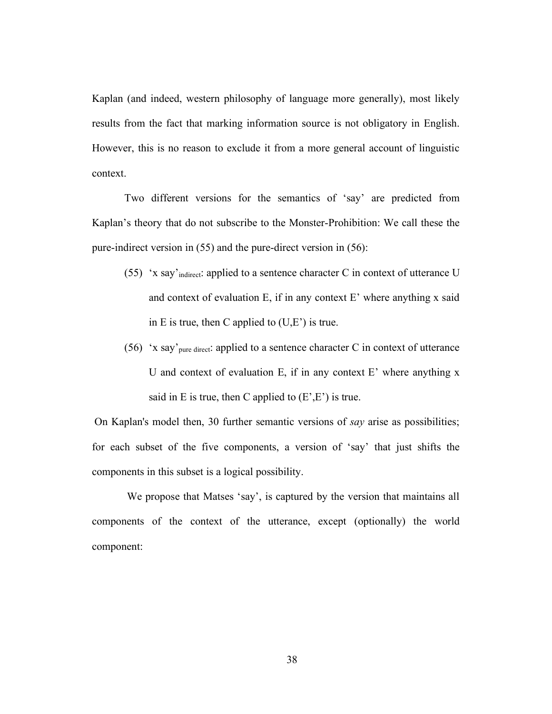Kaplan (and indeed, western philosophy of language more generally), most likely results from the fact that marking information source is not obligatory in English. However, this is no reason to exclude it from a more general account of linguistic context.

Two different versions for the semantics of 'say' are predicted from Kaplan's theory that do not subscribe to the Monster-Prohibition: We call these the pure-indirect version in (55) and the pure-direct version in (56):

- (55) 'x say'<sub>indirect</sub>: applied to a sentence character C in context of utterance U and context of evaluation E, if in any context E' where anything x said in E is true, then C applied to  $(U,E')$  is true.
- (56) 'x say'<sub>pure direct</sub>: applied to a sentence character C in context of utterance U and context of evaluation E, if in any context  $E'$  where anything x said in E is true, then C applied to  $(E', E')$  is true.

 On Kaplan's model then, 30 further semantic versions of *say* arise as possibilities; for each subset of the five components, a version of 'say' that just shifts the components in this subset is a logical possibility.

We propose that Matses 'say', is captured by the version that maintains all components of the context of the utterance, except (optionally) the world component: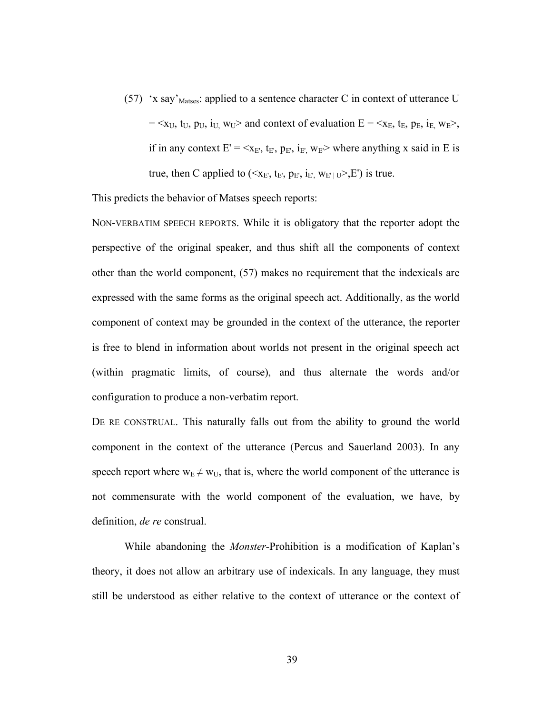(57) 'x say'<sub>Matses</sub>: applied to a sentence character C in context of utterance U  $= \langle x_U, t_U, p_U, i_U, w_U \rangle$  and context of evaluation  $E = \langle x_E, t_E, p_E, i_E, w_E \rangle$ , if in any context  $E' = \langle x_E, t_E, p_E, i_E, w_E \rangle$  where anything x said in E is true, then C applied to ( $\langle x_E, t_E, p_E, i_E, w_{E' \cup V} \rangle$  is true.

This predicts the behavior of Matses speech reports:

NON-VERBATIM SPEECH REPORTS. While it is obligatory that the reporter adopt the perspective of the original speaker, and thus shift all the components of context other than the world component, (57) makes no requirement that the indexicals are expressed with the same forms as the original speech act. Additionally, as the world component of context may be grounded in the context of the utterance, the reporter is free to blend in information about worlds not present in the original speech act (within pragmatic limits, of course), and thus alternate the words and/or configuration to produce a non-verbatim report.

DE RE CONSTRUAL. This naturally falls out from the ability to ground the world component in the context of the utterance (Percus and Sauerland 2003). In any speech report where  $w_E \neq w_U$ , that is, where the world component of the utterance is not commensurate with the world component of the evaluation, we have, by definition, *de re* construal.

While abandoning the *Monster*-Prohibition is a modification of Kaplan's theory, it does not allow an arbitrary use of indexicals. In any language, they must still be understood as either relative to the context of utterance or the context of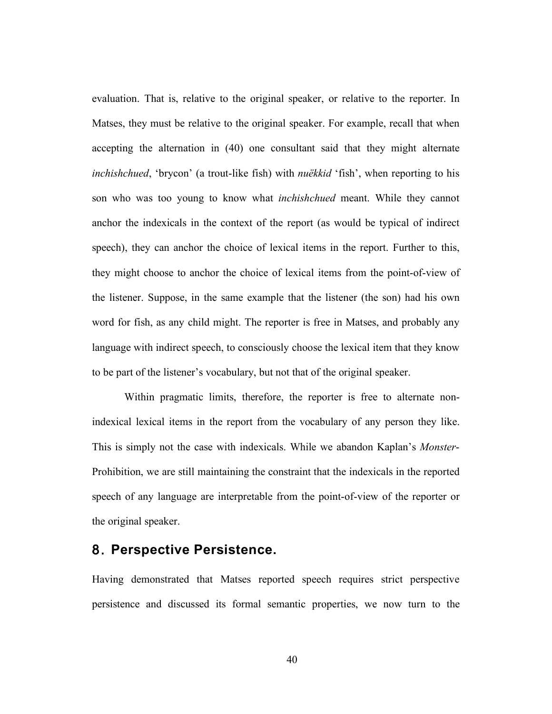evaluation. That is, relative to the original speaker, or relative to the reporter. In Matses, they must be relative to the original speaker. For example, recall that when accepting the alternation in (40) one consultant said that they might alternate *inchishchued*, 'brycon' (a trout-like fish) with *nuëkkid* 'fish', when reporting to his son who was too young to know what *inchishchued* meant. While they cannot anchor the indexicals in the context of the report (as would be typical of indirect speech), they can anchor the choice of lexical items in the report. Further to this, they might choose to anchor the choice of lexical items from the point-of-view of the listener. Suppose, in the same example that the listener (the son) had his own word for fish, as any child might. The reporter is free in Matses, and probably any language with indirect speech, to consciously choose the lexical item that they know to be part of the listener's vocabulary, but not that of the original speaker.

Within pragmatic limits, therefore, the reporter is free to alternate nonindexical lexical items in the report from the vocabulary of any person they like. This is simply not the case with indexicals. While we abandon Kaplan's *Monster*-Prohibition, we are still maintaining the constraint that the indexicals in the reported speech of any language are interpretable from the point-of-view of the reporter or the original speaker.

### 8. **Perspective Persistence.**

Having demonstrated that Matses reported speech requires strict perspective persistence and discussed its formal semantic properties, we now turn to the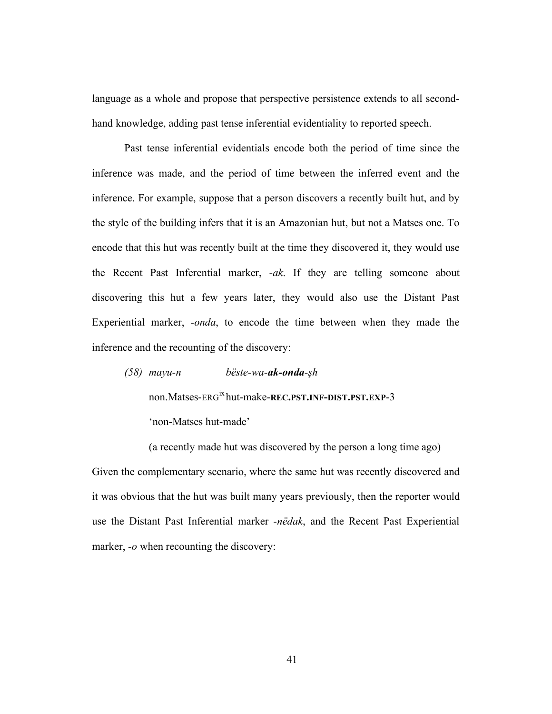language as a whole and propose that perspective persistence extends to all secondhand knowledge, adding past tense inferential evidentiality to reported speech.

Past tense inferential evidentials encode both the period of time since the inference was made, and the period of time between the inferred event and the inference. For example, suppose that a person discovers a recently built hut, and by the style of the building infers that it is an Amazonian hut, but not a Matses one. To encode that this hut was recently built at the time they discovered it, they would use the Recent Past Inferential marker, *-ak*. If they are telling someone about discovering this hut a few years later, they would also use the Distant Past Experiential marker, *-onda*, to encode the time between when they made the inference and the recounting of the discovery:

*(58) mayu-n bëste-wa-ak-onda-!h* non.Matses-ERGix hut-make-**REC.PST.INF-DIST.PST.EXP**-3 'non-Matses hut-made'

(a recently made hut was discovered by the person a long time ago) Given the complementary scenario, where the same hut was recently discovered and it was obvious that the hut was built many years previously, then the reporter would use the Distant Past Inferential marker *-nëdak*, and the Recent Past Experiential marker, *-o* when recounting the discovery: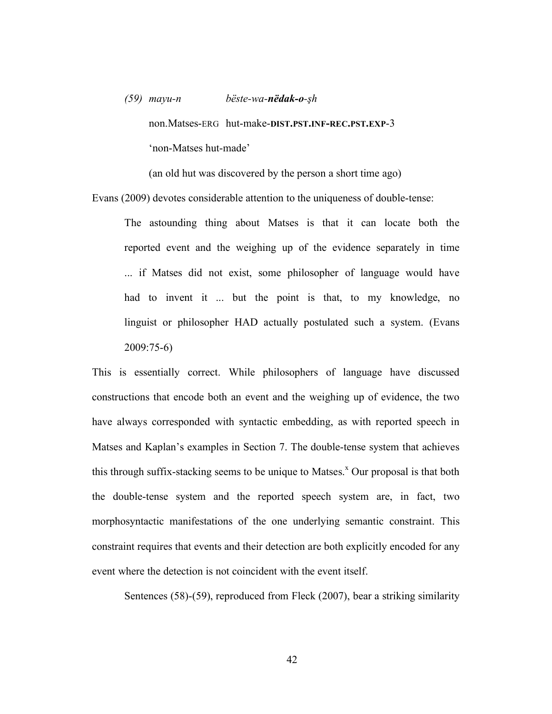# *(59) mayu-n bëste-wa-nëdak-o-!h* non.Matses-ERG hut-make-**DIST.PST.INF-REC.PST.EXP**-3 'non-Matses hut-made'

(an old hut was discovered by the person a short time ago)

Evans (2009) devotes considerable attention to the uniqueness of double-tense:

The astounding thing about Matses is that it can locate both the reported event and the weighing up of the evidence separately in time ... if Matses did not exist, some philosopher of language would have had to invent it ... but the point is that, to my knowledge, no linguist or philosopher HAD actually postulated such a system. (Evans 2009:75-6)

This is essentially correct. While philosophers of language have discussed constructions that encode both an event and the weighing up of evidence, the two have always corresponded with syntactic embedding, as with reported speech in Matses and Kaplan's examples in Section 7. The double-tense system that achieves this through suffix-stacking seems to be unique to Matses.<sup>x</sup> Our proposal is that both the double-tense system and the reported speech system are, in fact, two morphosyntactic manifestations of the one underlying semantic constraint. This constraint requires that events and their detection are both explicitly encoded for any event where the detection is not coincident with the event itself.

Sentences (58)-(59), reproduced from Fleck (2007), bear a striking similarity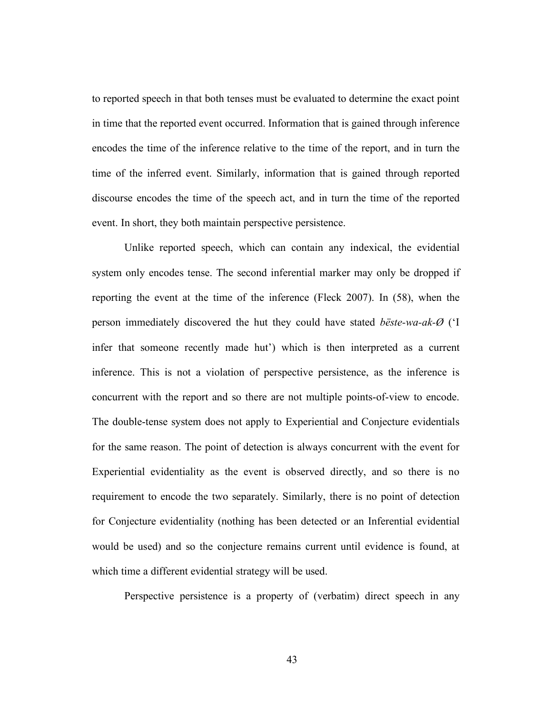to reported speech in that both tenses must be evaluated to determine the exact point in time that the reported event occurred. Information that is gained through inference encodes the time of the inference relative to the time of the report, and in turn the time of the inferred event. Similarly, information that is gained through reported discourse encodes the time of the speech act, and in turn the time of the reported event. In short, they both maintain perspective persistence.

Unlike reported speech, which can contain any indexical, the evidential system only encodes tense. The second inferential marker may only be dropped if reporting the event at the time of the inference (Fleck 2007). In (58), when the person immediately discovered the hut they could have stated *bëste-wa-ak-Ø* ('I infer that someone recently made hut') which is then interpreted as a current inference. This is not a violation of perspective persistence, as the inference is concurrent with the report and so there are not multiple points-of-view to encode. The double-tense system does not apply to Experiential and Conjecture evidentials for the same reason. The point of detection is always concurrent with the event for Experiential evidentiality as the event is observed directly, and so there is no requirement to encode the two separately. Similarly, there is no point of detection for Conjecture evidentiality (nothing has been detected or an Inferential evidential would be used) and so the conjecture remains current until evidence is found, at which time a different evidential strategy will be used.

Perspective persistence is a property of (verbatim) direct speech in any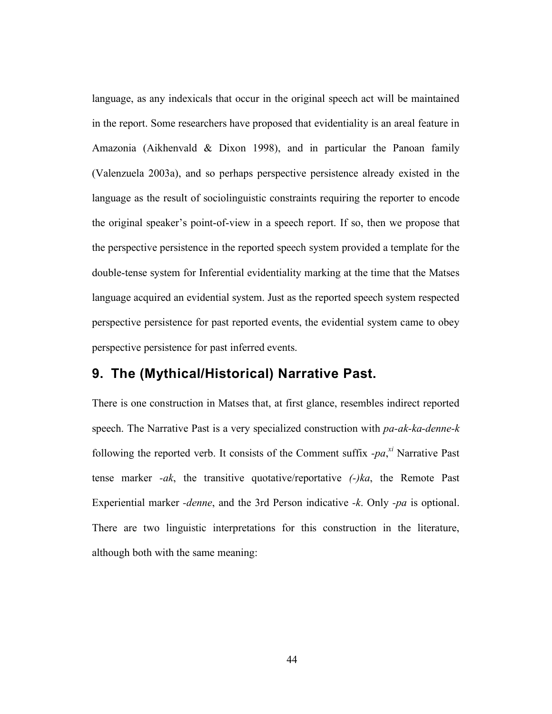language, as any indexicals that occur in the original speech act will be maintained in the report. Some researchers have proposed that evidentiality is an areal feature in Amazonia (Aikhenvald & Dixon 1998), and in particular the Panoan family (Valenzuela 2003a), and so perhaps perspective persistence already existed in the language as the result of sociolinguistic constraints requiring the reporter to encode the original speaker's point-of-view in a speech report. If so, then we propose that the perspective persistence in the reported speech system provided a template for the double-tense system for Inferential evidentiality marking at the time that the Matses language acquired an evidential system. Just as the reported speech system respected perspective persistence for past reported events, the evidential system came to obey perspective persistence for past inferred events.

## **9. The (Mythical/Historical) Narrative Past.**

There is one construction in Matses that, at first glance, resembles indirect reported speech. The Narrative Past is a very specialized construction with *pa-ak-ka-denne-k*  following the reported verb. It consists of the Comment suffix  $-pa$ <sup>xi</sup> Narrative Past tense marker *-ak*, the transitive quotative/reportative *(-)ka*, the Remote Past Experiential marker *-denne*, and the 3rd Person indicative *-k*. Only *-pa* is optional. There are two linguistic interpretations for this construction in the literature, although both with the same meaning: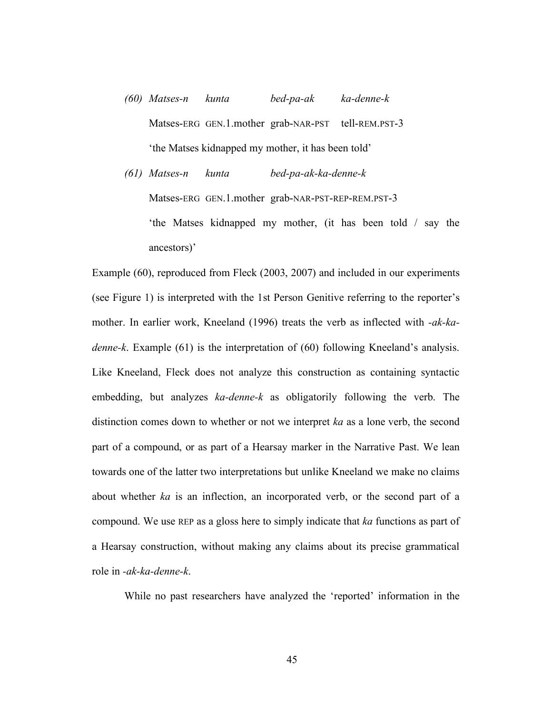- *(60) Matses-n kunta bed-pa-ak ka-denne-k* Matses-ERG GEN.1.mother grab-NAR-PST tell-REM.PST-3 'the Matses kidnapped my mother, it has been told'
- *(61) Matses-n kunta bed-pa-ak-ka-denne-k* Matses-ERG GEN.1.mother grab-NAR-PST-REP-REM.PST-3 'the Matses kidnapped my mother, (it has been told / say the ancestors)'

Example (60), reproduced from Fleck (2003, 2007) and included in our experiments (see Figure 1) is interpreted with the 1st Person Genitive referring to the reporter's mother. In earlier work, Kneeland (1996) treats the verb as inflected with *-ak-kadenne-k*. Example (61) is the interpretation of (60) following Kneeland's analysis. Like Kneeland, Fleck does not analyze this construction as containing syntactic embedding, but analyzes *ka-denne-k* as obligatorily following the verb. The distinction comes down to whether or not we interpret *ka* as a lone verb, the second part of a compound, or as part of a Hearsay marker in the Narrative Past. We lean towards one of the latter two interpretations but unlike Kneeland we make no claims about whether *ka* is an inflection, an incorporated verb, or the second part of a compound. We use REP as a gloss here to simply indicate that *ka* functions as part of a Hearsay construction, without making any claims about its precise grammatical role in *-ak-ka-denne-k*.

While no past researchers have analyzed the 'reported' information in the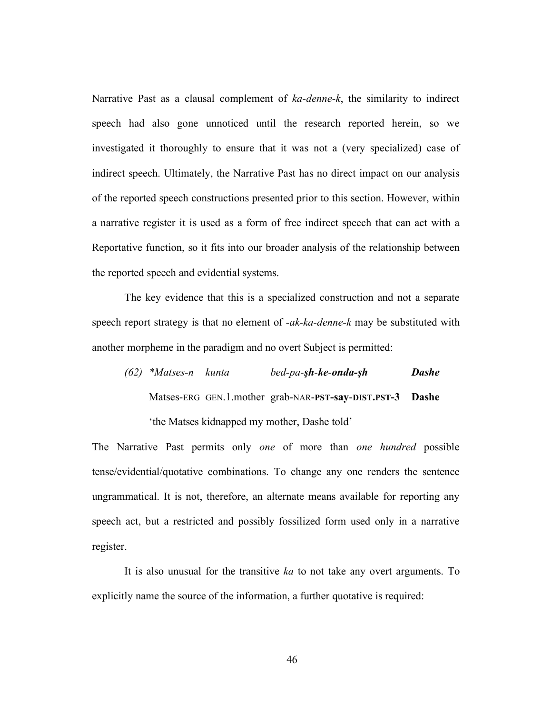Narrative Past as a clausal complement of *ka-denne-k*, the similarity to indirect speech had also gone unnoticed until the research reported herein, so we investigated it thoroughly to ensure that it was not a (very specialized) case of indirect speech. Ultimately, the Narrative Past has no direct impact on our analysis of the reported speech constructions presented prior to this section. However, within a narrative register it is used as a form of free indirect speech that can act with a Reportative function, so it fits into our broader analysis of the relationship between the reported speech and evidential systems.

The key evidence that this is a specialized construction and not a separate speech report strategy is that no element of *-ak-ka-denne-k* may be substituted with another morpheme in the paradigm and no overt Subject is permitted:

*(62) \*Matses-n kunta bed-pa-!h-ke-onda-!h Dashe* Matses-ERG GEN.1.mother grab-NAR-**PST-say**-**DIST.PST-3 Dashe** 'the Matses kidnapped my mother, Dashe told'

The Narrative Past permits only *one* of more than *one hundred* possible tense/evidential/quotative combinations. To change any one renders the sentence ungrammatical. It is not, therefore, an alternate means available for reporting any speech act, but a restricted and possibly fossilized form used only in a narrative register.

It is also unusual for the transitive *ka* to not take any overt arguments. To explicitly name the source of the information, a further quotative is required: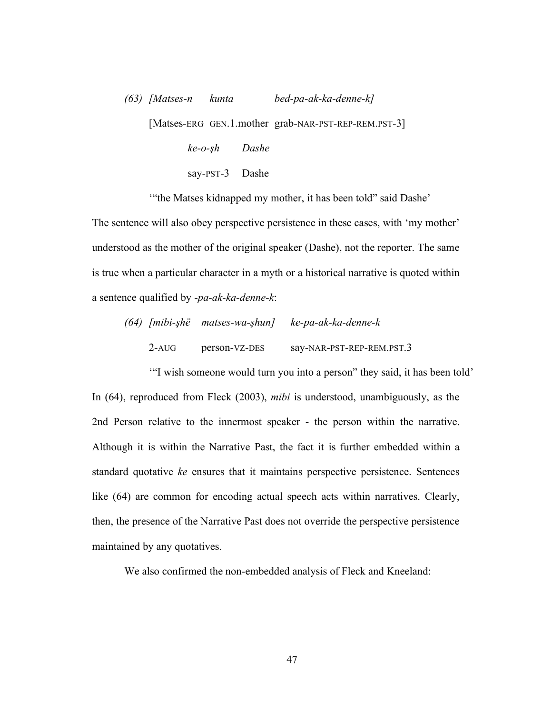*(63) [Matses-n kunta bed-pa-ak-ka-denne-k]* [Matses-ERG GEN.1.mother grab-NAR-PST-REP-REM.PST-3] *ke-o-!h Dashe* say-PST-3 Dashe

'"the Matses kidnapped my mother, it has been told" said Dashe'

The sentence will also obey perspective persistence in these cases, with 'my mother' understood as the mother of the original speaker (Dashe), not the reporter. The same is true when a particular character in a myth or a historical narrative is quoted within a sentence qualified by -*pa-ak-ka-denne-k*:

|          | (64) [mibi-şhë matses-wa-şhun] | ke-pa-ak-ka-denne-k       |
|----------|--------------------------------|---------------------------|
| $2 - AI$ | person-VZ-DES                  | say-NAR-PST-REP-REM.PST.3 |

'"I wish someone would turn you into a person" they said, it has been told' In (64), reproduced from Fleck (2003), *mibi* is understood, unambiguously, as the 2nd Person relative to the innermost speaker - the person within the narrative. Although it is within the Narrative Past, the fact it is further embedded within a standard quotative *ke* ensures that it maintains perspective persistence. Sentences like (64) are common for encoding actual speech acts within narratives. Clearly, then, the presence of the Narrative Past does not override the perspective persistence maintained by any quotatives.

We also confirmed the non-embedded analysis of Fleck and Kneeland: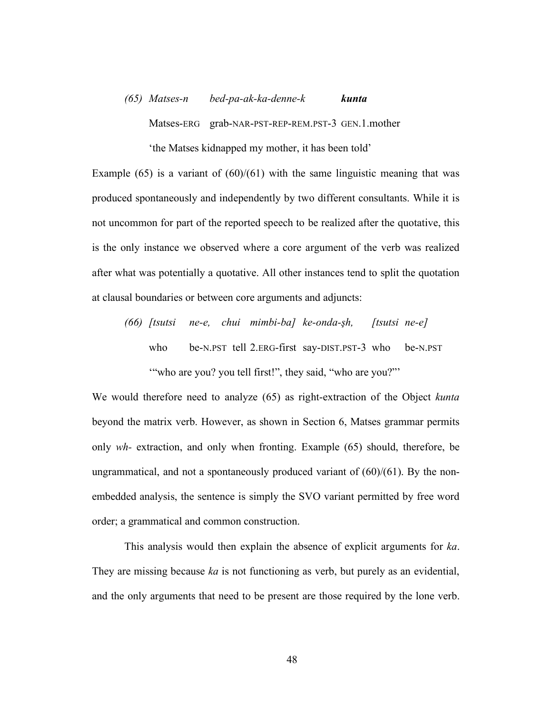## *(65) Matses-n bed-pa-ak-ka-denne-k kunta* Matses-ERG grab-NAR-PST-REP-REM.PST-3 GEN.1.mother 'the Matses kidnapped my mother, it has been told'

Example  $(65)$  is a variant of  $(60)/(61)$  with the same linguistic meaning that was produced spontaneously and independently by two different consultants. While it is not uncommon for part of the reported speech to be realized after the quotative, this is the only instance we observed where a core argument of the verb was realized after what was potentially a quotative. All other instances tend to split the quotation at clausal boundaries or between core arguments and adjuncts:

*(66) [tsutsi ne-e, chui mimbi-ba] ke-onda-!h, [tsutsi ne-e]* who be-N.PST tell 2.ERG-first say-DIST.PST-3 who be-N.PST '"who are you? you tell first!", they said, "who are you?"'

We would therefore need to analyze (65) as right-extraction of the Object *kunta* beyond the matrix verb. However, as shown in Section 6, Matses grammar permits only *wh-* extraction, and only when fronting. Example (65) should, therefore, be ungrammatical, and not a spontaneously produced variant of  $(60)/(61)$ . By the nonembedded analysis, the sentence is simply the SVO variant permitted by free word order; a grammatical and common construction.

This analysis would then explain the absence of explicit arguments for *ka*. They are missing because *ka* is not functioning as verb, but purely as an evidential, and the only arguments that need to be present are those required by the lone verb.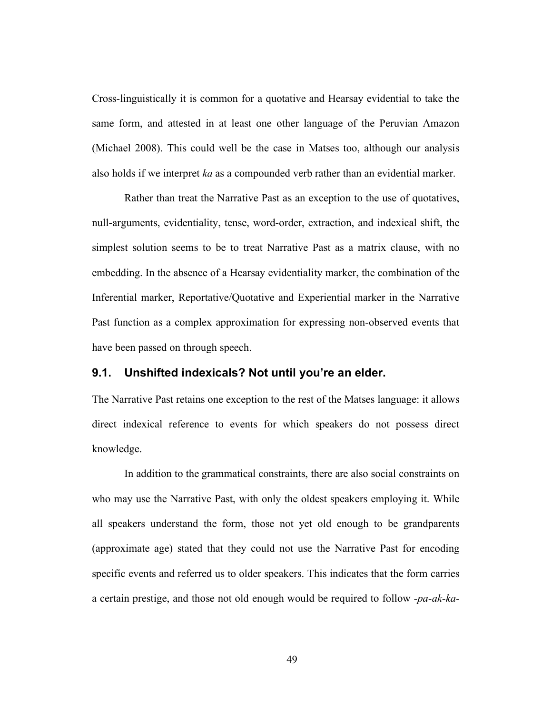Cross-linguistically it is common for a quotative and Hearsay evidential to take the same form, and attested in at least one other language of the Peruvian Amazon (Michael 2008). This could well be the case in Matses too, although our analysis also holds if we interpret *ka* as a compounded verb rather than an evidential marker.

Rather than treat the Narrative Past as an exception to the use of quotatives, null-arguments, evidentiality, tense, word-order, extraction, and indexical shift, the simplest solution seems to be to treat Narrative Past as a matrix clause, with no embedding. In the absence of a Hearsay evidentiality marker, the combination of the Inferential marker, Reportative/Quotative and Experiential marker in the Narrative Past function as a complex approximation for expressing non-observed events that have been passed on through speech.

#### **9.1. Unshifted indexicals? Not until you're an elder.**

The Narrative Past retains one exception to the rest of the Matses language: it allows direct indexical reference to events for which speakers do not possess direct knowledge.

In addition to the grammatical constraints, there are also social constraints on who may use the Narrative Past, with only the oldest speakers employing it. While all speakers understand the form, those not yet old enough to be grandparents (approximate age) stated that they could not use the Narrative Past for encoding specific events and referred us to older speakers. This indicates that the form carries a certain prestige, and those not old enough would be required to follow -*pa-ak-ka-*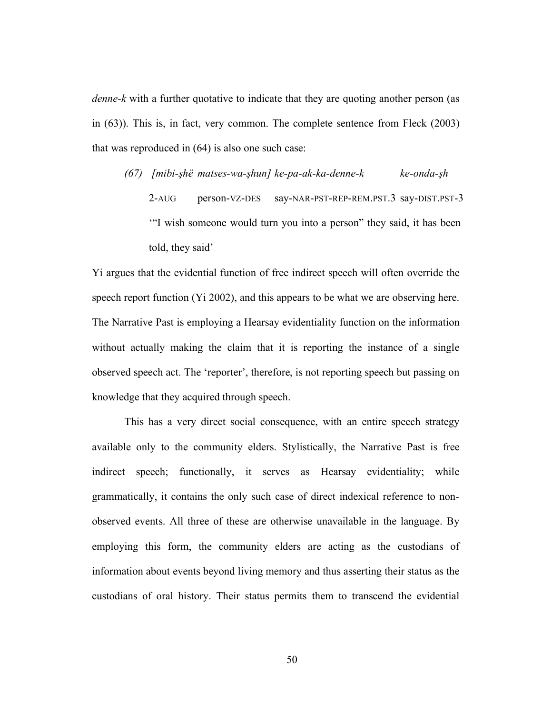*denne-k* with a further quotative to indicate that they are quoting another person (as in (63)). This is, in fact, very common. The complete sentence from Fleck (2003) that was reproduced in (64) is also one such case:

*(67) [mibi-!hë matses-wa-!hun] ke-pa-ak-ka-denne-k ke-onda-!h* 2-AUG person-VZ-DES say-NAR-PST-REP-REM.PST.3 say-DIST.PST-3 '"I wish someone would turn you into a person" they said, it has been told, they said'

Yi argues that the evidential function of free indirect speech will often override the speech report function (Yi 2002), and this appears to be what we are observing here. The Narrative Past is employing a Hearsay evidentiality function on the information without actually making the claim that it is reporting the instance of a single observed speech act. The 'reporter', therefore, is not reporting speech but passing on knowledge that they acquired through speech.

This has a very direct social consequence, with an entire speech strategy available only to the community elders. Stylistically, the Narrative Past is free indirect speech; functionally, it serves as Hearsay evidentiality; while grammatically, it contains the only such case of direct indexical reference to nonobserved events. All three of these are otherwise unavailable in the language. By employing this form, the community elders are acting as the custodians of information about events beyond living memory and thus asserting their status as the custodians of oral history. Their status permits them to transcend the evidential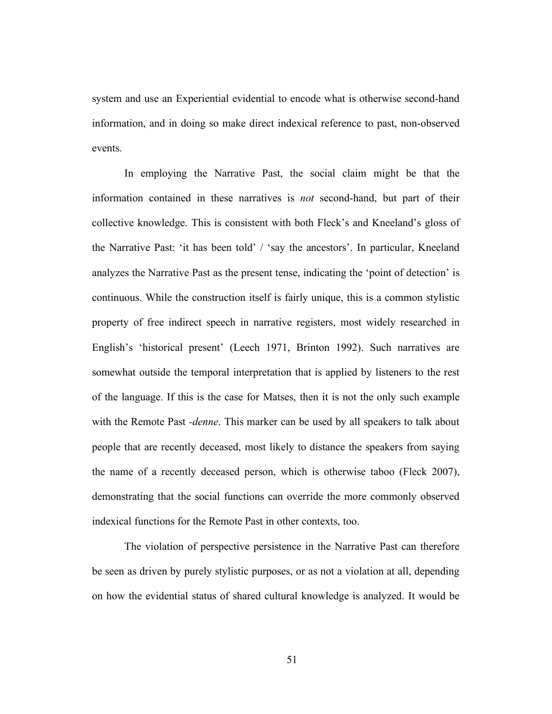system and use an Experiential evidential to encode what is otherwise second-hand information, and in doing so make direct indexical reference to past, non-observed events.

In employing the Narrative Past, the social claim might be that the information contained in these narratives is *not* second-hand, but part of their collective knowledge. This is consistent with both Fleck's and Kneeland's gloss of the Narrative Past: 'it has been told' / 'say the ancestors'. In particular, Kneeland analyzes the Narrative Past as the present tense, indicating the 'point of detection' is continuous. While the construction itself is fairly unique, this is a common stylistic property of free indirect speech in narrative registers, most widely researched in English's 'historical present' (Leech 1971, Brinton 1992). Such narratives are somewhat outside the temporal interpretation that is applied by listeners to the rest of the language. If this is the case for Matses, then it is not the only such example with the Remote Past *-denne*. This marker can be used by all speakers to talk about people that are recently deceased, most likely to distance the speakers from saying the name of a recently deceased person, which is otherwise taboo (Fleck 2007), demonstrating that the social functions can override the more commonly observed indexical functions for the Remote Past in other contexts, too.

The violation of perspective persistence in the Narrative Past can therefore be seen as driven by purely stylistic purposes, or as not a violation at all, depending on how the evidential status of shared cultural knowledge is analyzed. It would be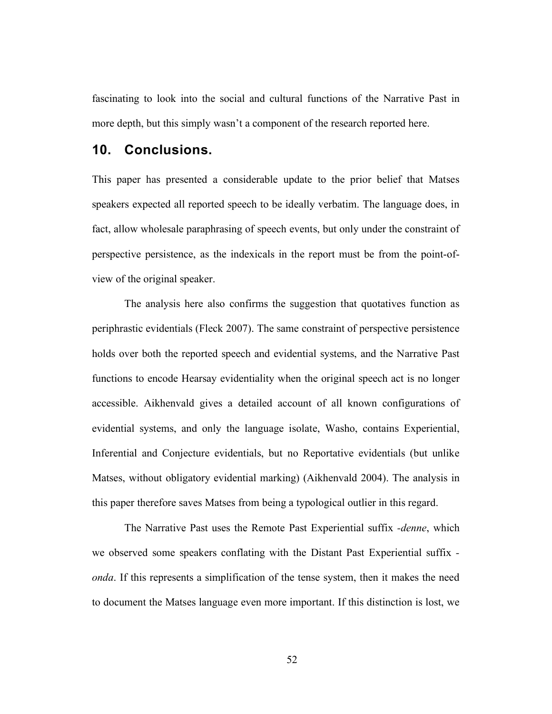fascinating to look into the social and cultural functions of the Narrative Past in more depth, but this simply wasn't a component of the research reported here.

## **10. Conclusions.**

This paper has presented a considerable update to the prior belief that Matses speakers expected all reported speech to be ideally verbatim. The language does, in fact, allow wholesale paraphrasing of speech events, but only under the constraint of perspective persistence, as the indexicals in the report must be from the point-ofview of the original speaker.

The analysis here also confirms the suggestion that quotatives function as periphrastic evidentials (Fleck 2007). The same constraint of perspective persistence holds over both the reported speech and evidential systems, and the Narrative Past functions to encode Hearsay evidentiality when the original speech act is no longer accessible. Aikhenvald gives a detailed account of all known configurations of evidential systems, and only the language isolate, Washo, contains Experiential, Inferential and Conjecture evidentials, but no Reportative evidentials (but unlike Matses, without obligatory evidential marking) (Aikhenvald 2004). The analysis in this paper therefore saves Matses from being a typological outlier in this regard.

The Narrative Past uses the Remote Past Experiential suffix *-denne*, which we observed some speakers conflating with the Distant Past Experiential suffix  *onda*. If this represents a simplification of the tense system, then it makes the need to document the Matses language even more important. If this distinction is lost, we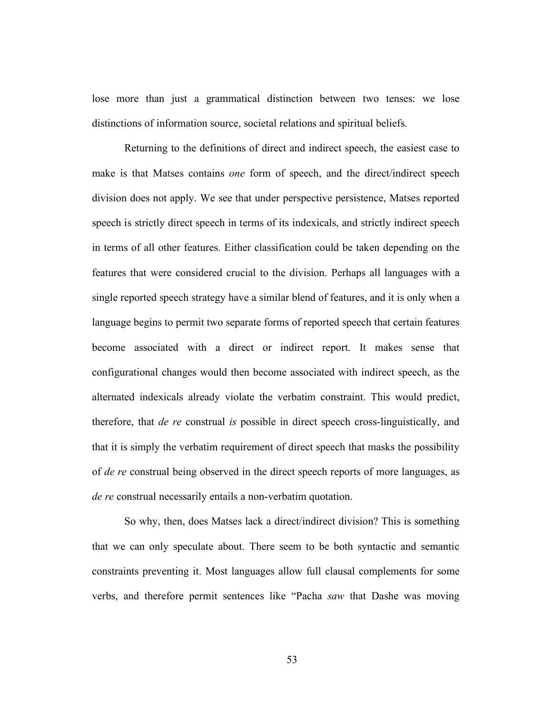lose more than just a grammatical distinction between two tenses: we lose distinctions of information source, societal relations and spiritual beliefs.

Returning to the definitions of direct and indirect speech, the easiest case to make is that Matses contains *one* form of speech, and the direct/indirect speech division does not apply. We see that under perspective persistence, Matses reported speech is strictly direct speech in terms of its indexicals, and strictly indirect speech in terms of all other features. Either classification could be taken depending on the features that were considered crucial to the division. Perhaps all languages with a single reported speech strategy have a similar blend of features, and it is only when a language begins to permit two separate forms of reported speech that certain features become associated with a direct or indirect report. It makes sense that configurational changes would then become associated with indirect speech, as the alternated indexicals already violate the verbatim constraint. This would predict, therefore, that *de re* construal *is* possible in direct speech cross-linguistically, and that it is simply the verbatim requirement of direct speech that masks the possibility of *de re* construal being observed in the direct speech reports of more languages, as *de re* construal necessarily entails a non-verbatim quotation.

So why, then, does Matses lack a direct/indirect division? This is something that we can only speculate about. There seem to be both syntactic and semantic constraints preventing it. Most languages allow full clausal complements for some verbs, and therefore permit sentences like "Pacha *saw* that Dashe was moving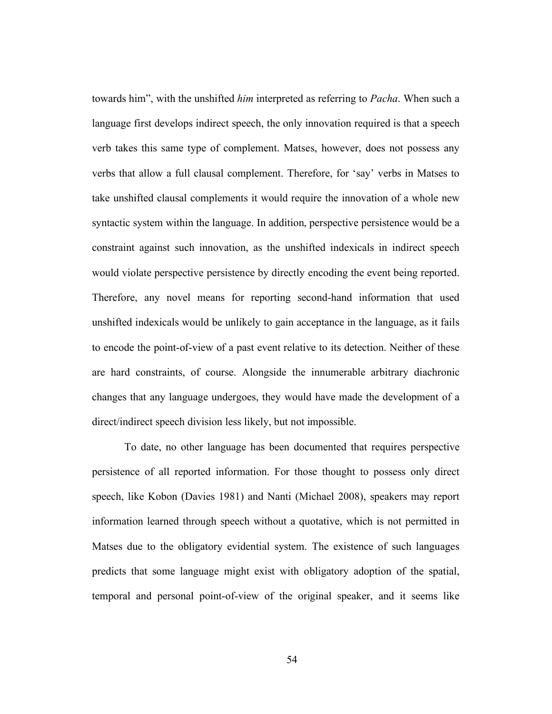towards him", with the unshifted *him* interpreted as referring to *Pacha*. When such a language first develops indirect speech, the only innovation required is that a speech verb takes this same type of complement. Matses, however, does not possess any verbs that allow a full clausal complement. Therefore, for 'say' verbs in Matses to take unshifted clausal complements it would require the innovation of a whole new syntactic system within the language. In addition, perspective persistence would be a constraint against such innovation, as the unshifted indexicals in indirect speech would violate perspective persistence by directly encoding the event being reported. Therefore, any novel means for reporting second-hand information that used unshifted indexicals would be unlikely to gain acceptance in the language, as it fails to encode the point-of-view of a past event relative to its detection. Neither of these are hard constraints, of course. Alongside the innumerable arbitrary diachronic changes that any language undergoes, they would have made the development of a direct/indirect speech division less likely, but not impossible.

To date, no other language has been documented that requires perspective persistence of all reported information. For those thought to possess only direct speech, like Kobon (Davies 1981) and Nanti (Michael 2008), speakers may report information learned through speech without a quotative, which is not permitted in Matses due to the obligatory evidential system. The existence of such languages predicts that some language might exist with obligatory adoption of the spatial, temporal and personal point-of-view of the original speaker, and it seems like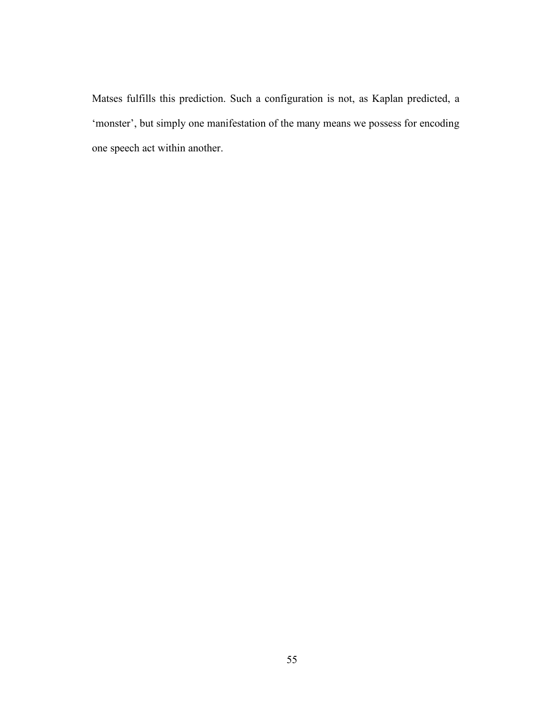Matses fulfills this prediction. Such a configuration is not, as Kaplan predicted, a 'monster', but simply one manifestation of the many means we possess for encoding one speech act within another.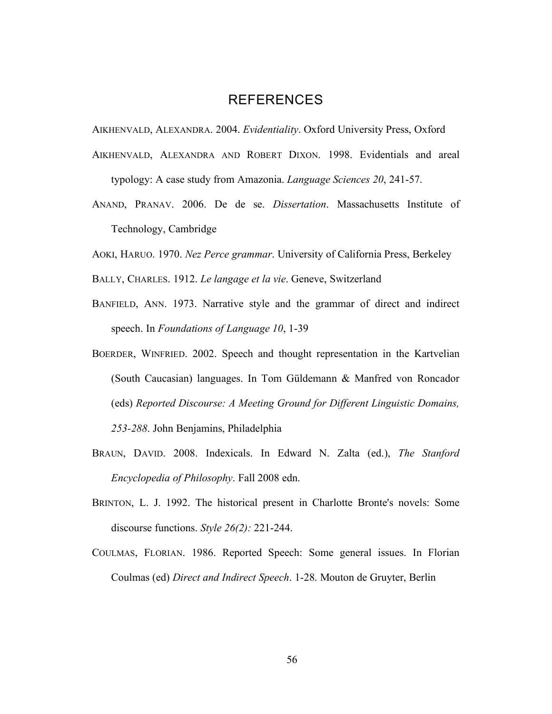## REFERENCES

AIKHENVALD, ALEXANDRA. 2004. *Evidentiality*. Oxford University Press, Oxford

- AIKHENVALD, ALEXANDRA AND ROBERT DIXON. 1998. Evidentials and areal typology: A case study from Amazonia. *Language Sciences 20*, 241-57.
- ANAND, PRANAV. 2006. De de se. *Dissertation*. Massachusetts Institute of Technology, Cambridge

AOKI, HARUO. 1970. *Nez Perce grammar*. University of California Press, Berkeley

- BALLY, CHARLES. 1912. *Le langage et la vie*. Geneve, Switzerland
- BANFIELD, ANN. 1973. Narrative style and the grammar of direct and indirect speech. In *Foundations of Language 10*, 1-39
- BOERDER, WINFRIED. 2002. Speech and thought representation in the Kartvelian (South Caucasian) languages. In Tom Güldemann & Manfred von Roncador (eds) *Reported Discourse: A Meeting Ground for Different Linguistic Domains, 253-288*. John Benjamins, Philadelphia
- BRAUN, DAVID. 2008. Indexicals. In Edward N. Zalta (ed.), *The Stanford Encyclopedia of Philosophy*. Fall 2008 edn.
- BRINTON, L. J. 1992. The historical present in Charlotte Bronte's novels: Some discourse functions. *Style 26(2):* 221-244.
- COULMAS, FLORIAN. 1986. Reported Speech: Some general issues. In Florian Coulmas (ed) *Direct and Indirect Speech*. 1-28. Mouton de Gruyter, Berlin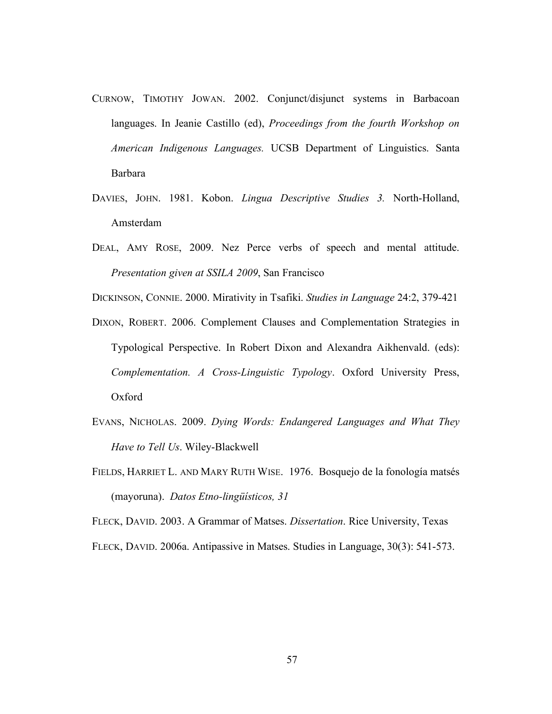- CURNOW, TIMOTHY JOWAN. 2002. Conjunct/disjunct systems in Barbacoan languages. In Jeanie Castillo (ed), *Proceedings from the fourth Workshop on American Indigenous Languages.* UCSB Department of Linguistics. Santa Barbara
- DAVIES, JOHN. 1981. Kobon. *Lingua Descriptive Studies 3.* North-Holland, Amsterdam
- DEAL, AMY ROSE, 2009. Nez Perce verbs of speech and mental attitude. *Presentation given at SSILA 2009*, San Francisco

DICKINSON, CONNIE. 2000. Mirativity in Tsafiki. *Studies in Language* 24:2, 379-421

- DIXON, ROBERT. 2006. Complement Clauses and Complementation Strategies in Typological Perspective. In Robert Dixon and Alexandra Aikhenvald. (eds): *Complementation. A Cross-Linguistic Typology*. Oxford University Press, Oxford
- EVANS, NICHOLAS. 2009. *Dying Words: Endangered Languages and What They Have to Tell Us*. Wiley-Blackwell
- FIELDS, HARRIET L. AND MARY RUTH WISE. 1976. Bosquejo de la fonología matsés (mayoruna). *Datos Etno-lingüísticos, 31*

FLECK, DAVID. 2003. A Grammar of Matses. *Dissertation*. Rice University, Texas

FLECK, DAVID. 2006a. Antipassive in Matses. Studies in Language, 30(3): 541-573.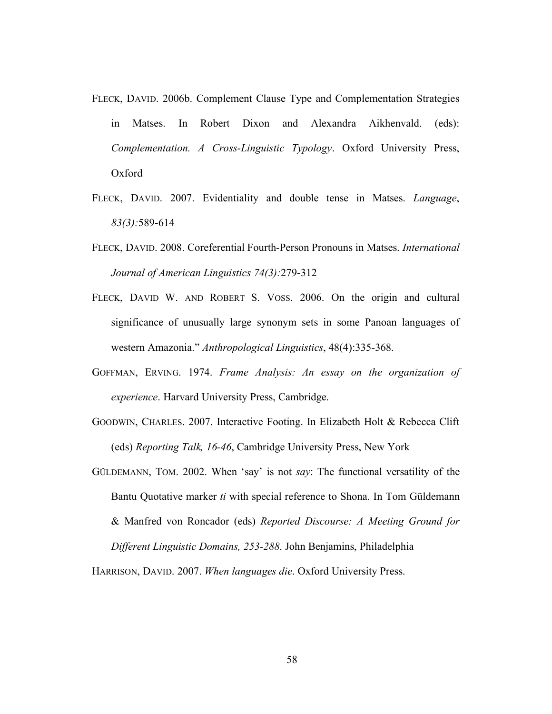- FLECK, DAVID. 2006b. Complement Clause Type and Complementation Strategies in Matses. In Robert Dixon and Alexandra Aikhenvald. (eds): *Complementation. A Cross-Linguistic Typology*. Oxford University Press, Oxford
- FLECK, DAVID. 2007. Evidentiality and double tense in Matses. *Language*, *83(3):*589-614
- FLECK, DAVID. 2008. Coreferential Fourth-Person Pronouns in Matses. *International Journal of American Linguistics 74(3):*279-312
- FLECK, DAVID W. AND ROBERT S. VOSS. 2006. On the origin and cultural significance of unusually large synonym sets in some Panoan languages of western Amazonia." *Anthropological Linguistics*, 48(4):335-368.
- GOFFMAN, ERVING. 1974. *Frame Analysis: An essay on the organization of experience*. Harvard University Press, Cambridge.
- GOODWIN, CHARLES. 2007. Interactive Footing. In Elizabeth Holt & Rebecca Clift (eds) *Reporting Talk, 16-46*, Cambridge University Press, New York
- GÜLDEMANN, TOM. 2002. When 'say' is not *say*: The functional versatility of the Bantu Quotative marker *ti* with special reference to Shona. In Tom Güldemann & Manfred von Roncador (eds) *Reported Discourse: A Meeting Ground for Different Linguistic Domains, 253-288*. John Benjamins, Philadelphia

HARRISON, DAVID. 2007. *When languages die*. Oxford University Press.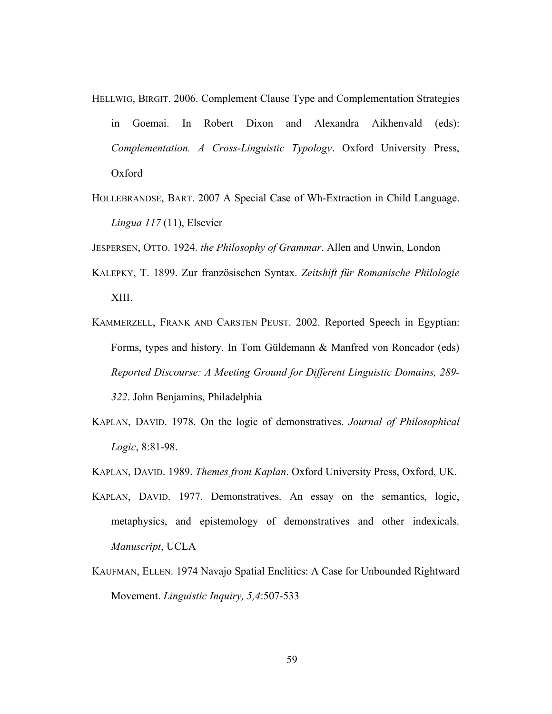- HELLWIG, BIRGIT. 2006. Complement Clause Type and Complementation Strategies in Goemai. In Robert Dixon and Alexandra Aikhenvald (eds): *Complementation. A Cross-Linguistic Typology*. Oxford University Press, Oxford
- HOLLEBRANDSE, BART. 2007 A Special Case of Wh-Extraction in Child Language. *Lingua 117* (11), Elsevier

JESPERSEN, OTTO. 1924. *the Philosophy of Grammar*. Allen and Unwin, London

- KALEPKY, T. 1899. Zur französischen Syntax. *Zeitshift für Romanische Philologie* XIII.
- KAMMERZELL, FRANK AND CARSTEN PEUST. 2002. Reported Speech in Egyptian: Forms, types and history. In Tom Güldemann & Manfred von Roncador (eds) *Reported Discourse: A Meeting Ground for Different Linguistic Domains, 289- 322*. John Benjamins, Philadelphia
- KAPLAN, DAVID. 1978. On the logic of demonstratives. *Journal of Philosophical Logic*, 8:81-98.
- KAPLAN, DAVID. 1989. *Themes from Kaplan*. Oxford University Press, Oxford, UK.
- KAPLAN, DAVID. 1977. Demonstratives. An essay on the semantics, logic, metaphysics, and epistemology of demonstratives and other indexicals. *Manuscript*, UCLA
- KAUFMAN, ELLEN. 1974 Navajo Spatial Enclitics: A Case for Unbounded Rightward Movement. *Linguistic Inquiry, 5,4*:507-533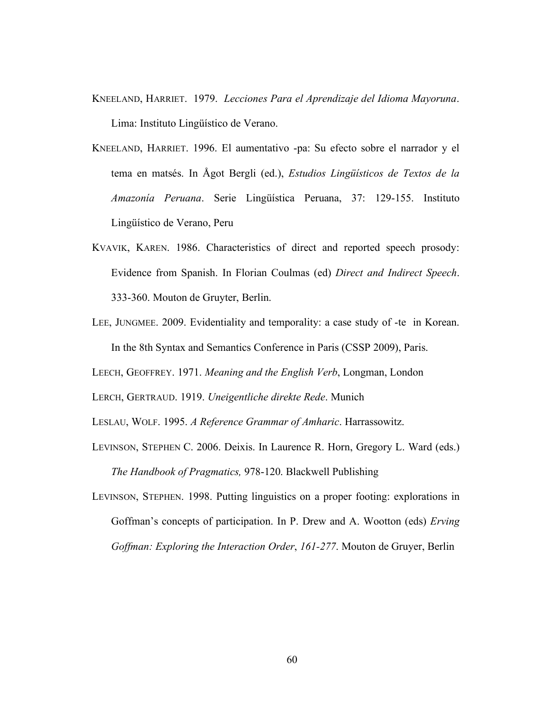- KNEELAND, HARRIET. 1979. *Lecciones Para el Aprendizaje del Idioma Mayoruna*. Lima: Instituto Lingüístico de Verano.
- KNEELAND, HARRIET. 1996. El aumentativo -pa: Su efecto sobre el narrador y el tema en matsés. In Ågot Bergli (ed.), *Estudios Lingüísticos de Textos de la Amazonía Peruana*. Serie Lingüística Peruana, 37: 129-155. Instituto Lingüístico de Verano, Peru
- KVAVIK, KAREN. 1986. Characteristics of direct and reported speech prosody: Evidence from Spanish. In Florian Coulmas (ed) *Direct and Indirect Speech*. 333-360. Mouton de Gruyter, Berlin.
- LEE, JUNGMEE. 2009. Evidentiality and temporality: a case study of -te in Korean. In the 8th Syntax and Semantics Conference in Paris (CSSP 2009), Paris.

LEECH, GEOFFREY. 1971. *Meaning and the English Verb*, Longman, London

LERCH, GERTRAUD. 1919. *Uneigentliche direkte Rede*. Munich

LESLAU, WOLF. 1995. *A Reference Grammar of Amharic*. Harrassowitz.

LEVINSON, STEPHEN C. 2006. Deixis. In Laurence R. Horn, Gregory L. Ward (eds.) *The Handbook of Pragmatics,* 978-120. Blackwell Publishing

LEVINSON, STEPHEN. 1998. Putting linguistics on a proper footing: explorations in Goffman's concepts of participation. In P. Drew and A. Wootton (eds) *Erving Goffman: Exploring the Interaction Order*, *161-277*. Mouton de Gruyer, Berlin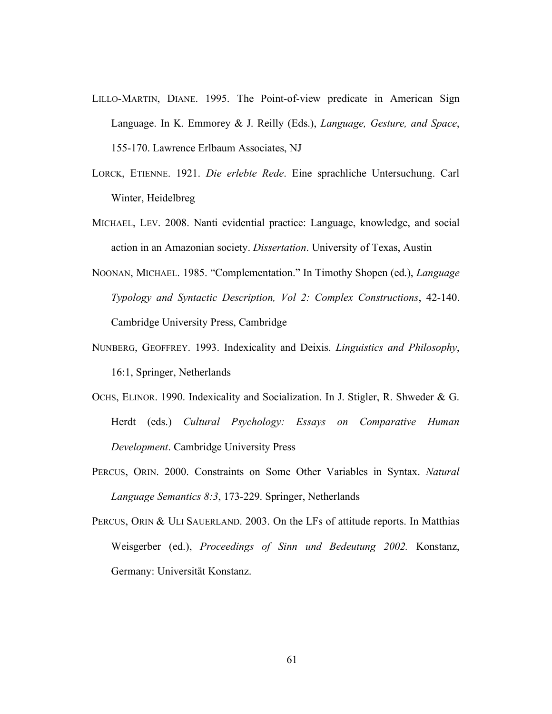- LILLO-MARTIN, DIANE. 1995. The Point-of-view predicate in American Sign Language. In K. Emmorey & J. Reilly (Eds.), *Language, Gesture, and Space*, 155-170. Lawrence Erlbaum Associates, NJ
- LORCK, ETIENNE. 1921. *Die erlebte Rede*. Eine sprachliche Untersuchung. Carl Winter, Heidelbreg
- MICHAEL, LEV. 2008. Nanti evidential practice: Language, knowledge, and social action in an Amazonian society. *Dissertation*. University of Texas, Austin
- NOONAN, MICHAEL. 1985. "Complementation." In Timothy Shopen (ed.), *Language Typology and Syntactic Description, Vol 2: Complex Constructions*, 42-140. Cambridge University Press, Cambridge
- NUNBERG, GEOFFREY. 1993. Indexicality and Deixis. *Linguistics and Philosophy*, 16:1, Springer, Netherlands
- OCHS, ELINOR. 1990. Indexicality and Socialization. In J. Stigler, R. Shweder & G. Herdt (eds.) *Cultural Psychology: Essays on Comparative Human Development*. Cambridge University Press
- PERCUS, ORIN. 2000. Constraints on Some Other Variables in Syntax. *Natural Language Semantics 8:3*, 173-229. Springer, Netherlands
- PERCUS, ORIN & ULI SAUERLAND. 2003. On the LFs of attitude reports. In Matthias Weisgerber (ed.), *Proceedings of Sinn und Bedeutung 2002.* Konstanz, Germany: Universität Konstanz.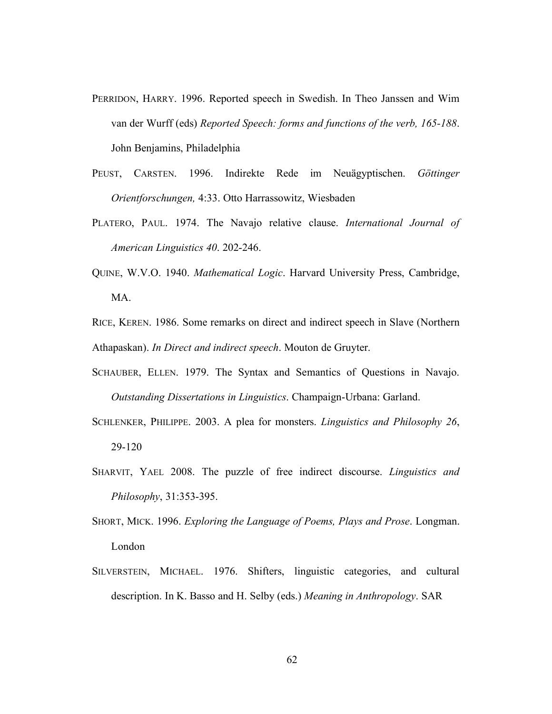- PERRIDON, HARRY. 1996. Reported speech in Swedish. In Theo Janssen and Wim van der Wurff (eds) *Reported Speech: forms and functions of the verb, 165-188*. John Benjamins, Philadelphia
- PEUST, CARSTEN. 1996. Indirekte Rede im Neuägyptischen. *Göttinger Orientforschungen,* 4:33. Otto Harrassowitz, Wiesbaden
- PLATERO, PAUL. 1974. The Navajo relative clause. *International Journal of American Linguistics 40*. 202-246.
- QUINE, W.V.O. 1940. *Mathematical Logic*. Harvard University Press, Cambridge, MA.
- RICE, KEREN. 1986. Some remarks on direct and indirect speech in Slave (Northern Athapaskan). *In Direct and indirect speech*. Mouton de Gruyter.
- SCHAUBER, ELLEN. 1979. The Syntax and Semantics of Questions in Navajo. *Outstanding Dissertations in Linguistics*. Champaign-Urbana: Garland.
- SCHLENKER, PHILIPPE. 2003. A plea for monsters. *Linguistics and Philosophy 26*, 29-120
- SHARVIT, YAEL 2008. The puzzle of free indirect discourse. *Linguistics and Philosophy*, 31:353-395.
- SHORT, MICK. 1996. *Exploring the Language of Poems, Plays and Prose*. Longman. London
- SILVERSTEIN, MICHAEL. 1976. Shifters, linguistic categories, and cultural description. In K. Basso and H. Selby (eds.) *Meaning in Anthropology*. SAR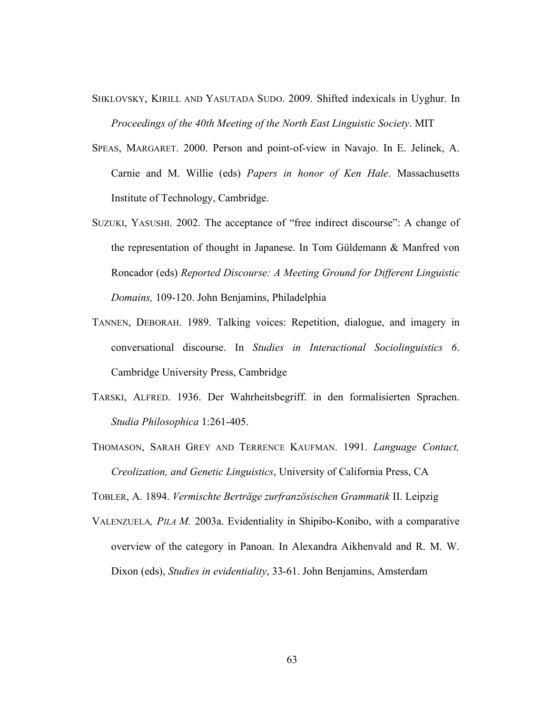- SHKLOVSKY, KIRILL AND YASUTADA SUDO. 2009. Shifted indexicals in Uyghur. In *Proceedings of the 40th Meeting of the North East Linguistic Society*. MIT
- SPEAS, MARGARET. 2000. Person and point-of-view in Navajo. In E. Jelinek, A. Carnie and M. Willie (eds) *Papers in honor of Ken Hale*. Massachusetts Institute of Technology, Cambridge.
- SUZUKI, YASUSHI. 2002. The acceptance of "free indirect discourse": A change of the representation of thought in Japanese. In Tom Güldemann & Manfred von Roncador (eds) *Reported Discourse: A Meeting Ground for Different Linguistic Domains,* 109-120. John Benjamins, Philadelphia
- TANNEN, DEBORAH. 1989. Talking voices: Repetition, dialogue, and imagery in conversational discourse. In *Studies in Interactional Sociolinguistics 6*. Cambridge University Press, Cambridge
- TARSKI, ALFRED. 1936. Der Wahrheitsbegriff. in den formalisierten Sprachen. *Studia Philosophica* 1:261-405.
- THOMASON, SARAH GREY AND TERRENCE KAUFMAN. 1991. *Language Contact, Creolization, and Genetic Linguistics*, University of California Press, CA

TOBLER, A. 1894. *Vermischte Berträge zurfranzösischen Grammatik* II*.* Leipzig

VALENZUELA*, PILA M.* 2003a. Evidentiality in Shipibo-Konibo, with a comparative overview of the category in Panoan. In Alexandra Aikhenvald and R. M. W. Dixon (eds), *Studies in evidentiality*, 33-61. John Benjamins, Amsterdam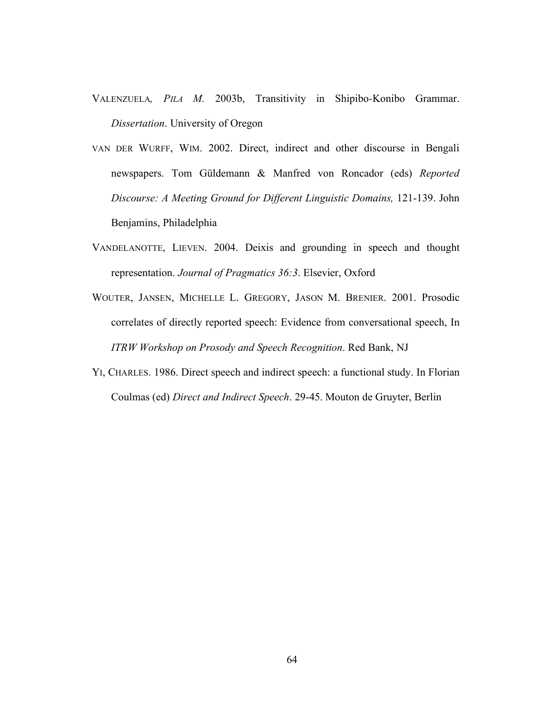- VALENZUELA*, PILA M.* 2003b, Transitivity in Shipibo*-*Konibo Grammar. *Dissertation*. University of Oregon
- VAN DER WURFF, WIM. 2002. Direct, indirect and other discourse in Bengali newspapers. Tom Güldemann & Manfred von Roncador (eds) *Reported Discourse: A Meeting Ground for Different Linguistic Domains,* 121-139. John Benjamins, Philadelphia
- VANDELANOTTE, LIEVEN. 2004. Deixis and grounding in speech and thought representation. *Journal of Pragmatics 36:3*. Elsevier, Oxford
- WOUTER, JANSEN, MICHELLE L. GREGORY, JASON M. BRENIER. 2001. Prosodic correlates of directly reported speech: Evidence from conversational speech, In *ITRW Workshop on Prosody and Speech Recognition*. Red Bank, NJ
- YI, CHARLES. 1986. Direct speech and indirect speech: a functional study. In Florian Coulmas (ed) *Direct and Indirect Speech*. 29-45. Mouton de Gruyter, Berlin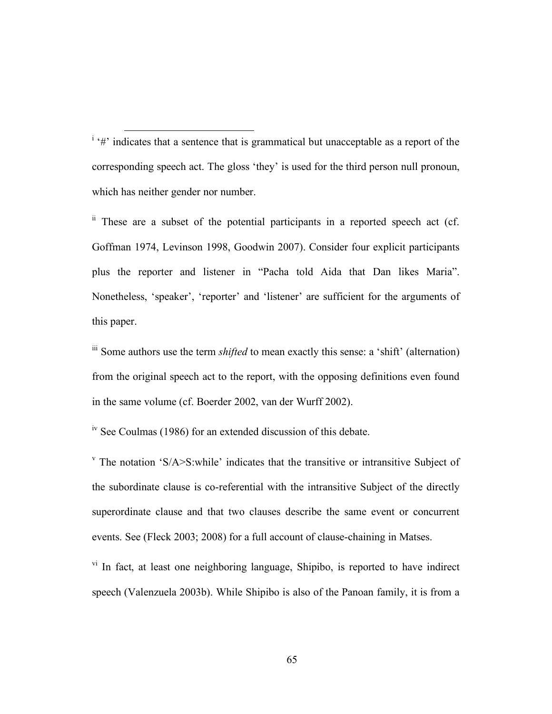<sup>i</sup> '#' indicates that a sentence that is grammatical but unacceptable as a report of the corresponding speech act. The gloss 'they' is used for the third person null pronoun, which has neither gender nor number.

 $\ddot{h}$  These are a subset of the potential participants in a reported speech act (cf. Goffman 1974, Levinson 1998, Goodwin 2007). Consider four explicit participants plus the reporter and listener in "Pacha told Aida that Dan likes Maria". Nonetheless, 'speaker', 'reporter' and 'listener' are sufficient for the arguments of this paper.

iii Some authors use the term *shifted* to mean exactly this sense: a 'shift' (alternation) from the original speech act to the report, with the opposing definitions even found in the same volume (cf. Boerder 2002, van der Wurff 2002).

iv See Coulmas (1986) for an extended discussion of this debate.

<sup>v</sup> The notation 'S/A>S:while' indicates that the transitive or intransitive Subject of the subordinate clause is co-referential with the intransitive Subject of the directly superordinate clause and that two clauses describe the same event or concurrent events. See (Fleck 2003; 2008) for a full account of clause-chaining in Matses.

vi In fact, at least one neighboring language, Shipibo, is reported to have indirect speech (Valenzuela 2003b). While Shipibo is also of the Panoan family, it is from a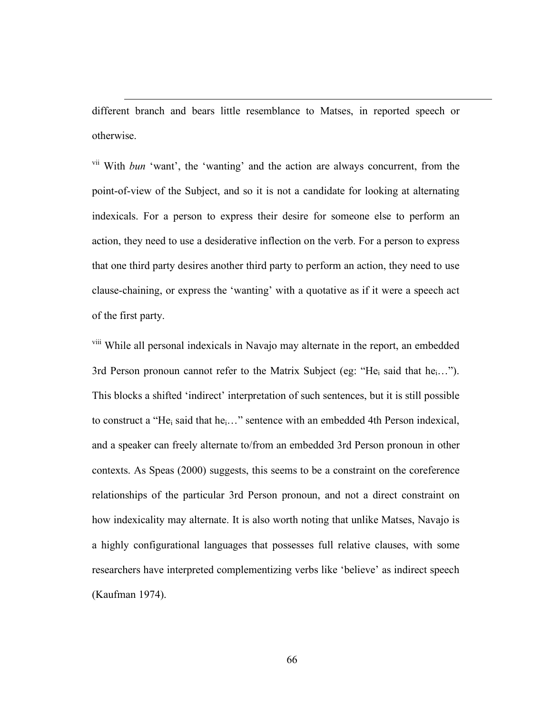different branch and bears little resemblance to Matses, in reported speech or otherwise.

 $\overline{a}$ 

vii With *bun* 'want', the 'wanting' and the action are always concurrent, from the point-of-view of the Subject, and so it is not a candidate for looking at alternating indexicals. For a person to express their desire for someone else to perform an action, they need to use a desiderative inflection on the verb. For a person to express that one third party desires another third party to perform an action, they need to use clause-chaining, or express the 'wanting' with a quotative as if it were a speech act of the first party.

<sup>viii</sup> While all personal indexicals in Navajo may alternate in the report, an embedded 3rd Person pronoun cannot refer to the Matrix Subject (eg: "He<sub>i</sub> said that he<sub>i</sub>..."). This blocks a shifted 'indirect' interpretation of such sentences, but it is still possible to construct a "He<sub>i</sub> said that he<sub>i</sub>..." sentence with an embedded 4th Person indexical, and a speaker can freely alternate to/from an embedded 3rd Person pronoun in other contexts. As Speas (2000) suggests, this seems to be a constraint on the coreference relationships of the particular 3rd Person pronoun, and not a direct constraint on how indexicality may alternate. It is also worth noting that unlike Matses, Navajo is a highly configurational languages that possesses full relative clauses, with some researchers have interpreted complementizing verbs like 'believe' as indirect speech (Kaufman 1974).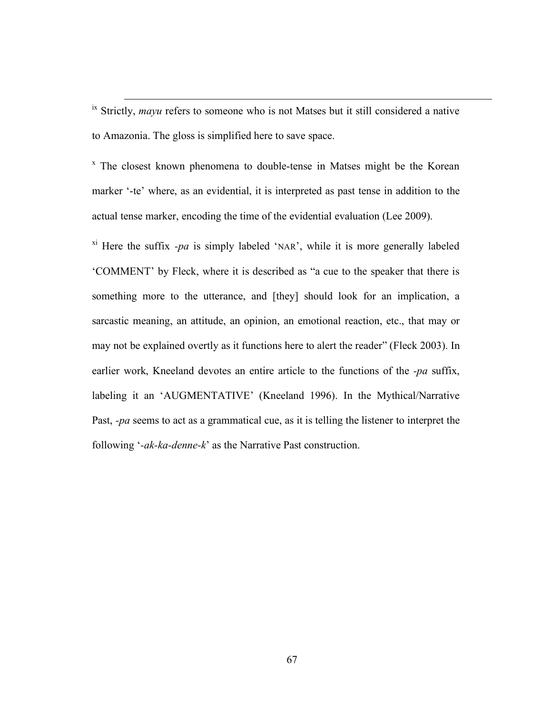ix Strictly, *mayu* refers to someone who is not Matses but it still considered a native to Amazonia. The gloss is simplified here to save space.

<sup>x</sup> The closest known phenomena to double-tense in Matses might be the Korean marker '-te' where, as an evidential, it is interpreted as past tense in addition to the actual tense marker, encoding the time of the evidential evaluation (Lee 2009).

 $x_i$ <sup>xi</sup> Here the suffix *-pa* is simply labeled 'NAR', while it is more generally labeled 'COMMENT' by Fleck, where it is described as "a cue to the speaker that there is something more to the utterance, and [they] should look for an implication, a sarcastic meaning, an attitude, an opinion, an emotional reaction, etc., that may or may not be explained overtly as it functions here to alert the reader" (Fleck 2003). In earlier work, Kneeland devotes an entire article to the functions of the *-pa* suffix, labeling it an 'AUGMENTATIVE' (Kneeland 1996). In the Mythical/Narrative Past, *-pa* seems to act as a grammatical cue, as it is telling the listener to interpret the following '*-ak-ka-denne-k*' as the Narrative Past construction.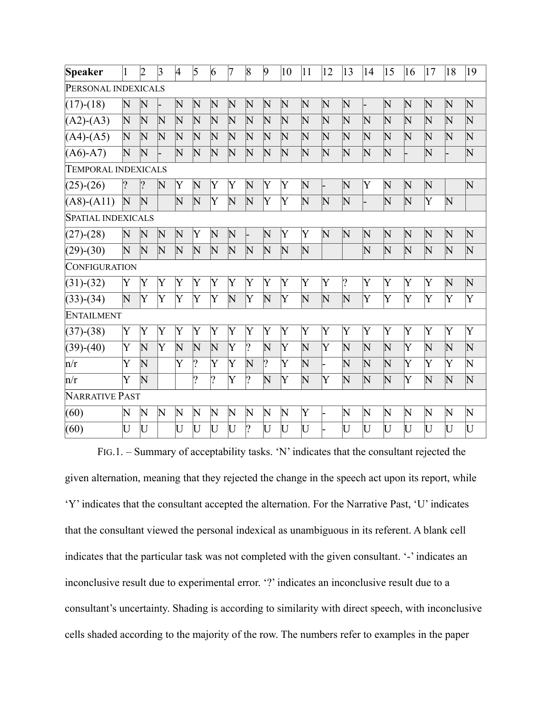| Speaker                    |                         | $\overline{2}$     | $\vert 3 \vert$       | 4                     | 5                       | $\overline{6}$        | 7                  | $\vert 8$          | $\vert 9$          | 10                 | 11                      | 12                      | 13                    | 14                      | 15                      | 16                      | 17                      | 18                 | 19                    |
|----------------------------|-------------------------|--------------------|-----------------------|-----------------------|-------------------------|-----------------------|--------------------|--------------------|--------------------|--------------------|-------------------------|-------------------------|-----------------------|-------------------------|-------------------------|-------------------------|-------------------------|--------------------|-----------------------|
| PERSONAL INDEXICALS        |                         |                    |                       |                       |                         |                       |                    |                    |                    |                    |                         |                         |                       |                         |                         |                         |                         |                    |                       |
| $(17)-(18)$                | $\overline{\rm N}$      | $\mathbf N$        |                       | $\mathbf N$           | $\mathbf N$             | $\mathbb N$           | $\mathbb N$        | $\mathbf N$        | $\mathbf N$        | $\mathbf N$        | $\mathbf N$             | $\mathbf N$             | $\mathbf N$           |                         | $\mathbf N$             | $\mathbf N$             | $\mathbf N$             | $\overline{\rm N}$ | $\mathbf N$           |
| $(A2)-(A3)$                | $\overline{\rm N}$      | $\mathbf N$        | $\mathbf N$           | $\overline{\text{N}}$ | $\overline{\rm N}$      | $\overline{\rm N}$    | $\mathbf N$        | $\overline{\rm N}$ | $\mathbf N$        | $\mathbf N$        | $\overline{\rm N}$      | $\overline{\textsf{N}}$ | $\overline{\rm N}$    | $\mathbf N$             | $\mathbf N$             | $\overline{\textsf{N}}$ | $\overline{\textsf{N}}$ | $\overline{\rm N}$ | $\mathbf N$           |
| $(A4)-(A5)$                | $\overline{\rm N}$      | $\mathbf N$        | $\mathbf N$           | $\mathbf N$           | $\overline{\rm N}$      | $\overline{\rm N}$    | $\mathbf N$        | $\mathbf N$        | $\overline{\rm N}$ | $\mathbf N$        | $\overline{\rm N}$      | $\mathbf N$             | $\overline{\rm N}$    | $\mathbf N$             | $\mathbf N$             | $\overline{\rm N}$      | $\overline{\rm N}$      | $\overline{\rm N}$ | $\mathbf N$           |
| $(A6)-A7)$                 | $\overline{\rm N}$      | $\overline{\rm N}$ |                       | $\overline{\rm N}$    | $\overline{\rm N}$      | $\overline{\rm N}$    | $\overline{\rm N}$ | $\mathbf N$        | $\overline{\rm N}$ | $\overline{\rm N}$ | $\overline{\rm N}$      | $\overline{\rm N}$      | $\overline{\rm N}$    | $\overline{\rm N}$      | $\overline{\rm N}$      |                         | $\overline{\rm N}$      |                    | $\overline{\text{N}}$ |
| <b>TEMPORAL INDEXICALS</b> |                         |                    |                       |                       |                         |                       |                    |                    |                    |                    |                         |                         |                       |                         |                         |                         |                         |                    |                       |
| $(25)-(26)$                | $\overline{?}$          | ?                  | $\mathbf N$           | Y                     | $\overline{\rm N}$      | Y                     | Y                  | $\mathbf N$        | Y                  | Y                  | $\overline{\rm N}$      | -                       | $\mathbf N$           | Y                       | $\overline{\textsf{N}}$ | $\overline{\rm N}$      | $\mathbf N$             |                    | $\mathbb N$           |
| $(A8)$ - $(A11)$           | $\mathbf N$             | $\overline{\rm N}$ |                       | $\overline{\rm N}$    | $\overline{\rm N}$      | Y                     | $\overline{\rm N}$ | $\mathbf N$        | Y                  | Ý                  | $\overline{\rm N}$      | $\overline{\rm N}$      | $\overline{\text{N}}$ |                         | $\mathbf N$             | $\overline{\rm N}$      | Y                       | N                  |                       |
| <b>SPATIAL INDEXICALS</b>  |                         |                    |                       |                       |                         |                       |                    |                    |                    |                    |                         |                         |                       |                         |                         |                         |                         |                    |                       |
| $(27)-(28)$                | $\overline{\rm N}$      | $\mathbf N$        | $\mathbf N$           | $\mathbf N$           | $\rm{Y}$                | N                     | $\mathbf N$        |                    | $\mathbf N$        | Y                  | Y                       | N                       | $\overline{\rm N}$    | $\mathbf N$             | $\overline{\rm N}$      | $\overline{\rm N}$      | $\overline{\rm N}$      | $\overline{\rm N}$ | $\overline{\rm N}$    |
| $(29)-(30)$                | $\overline{\textsf{N}}$ | $\mathbf N$        | $\overline{\text{N}}$ | $\overline{\rm N}$    | $\overline{\rm N}$      | $\overline{\rm N}$    | $\mathbf N$        | $\mathbf N$        | $\overline{\rm N}$ | $\mathbf N$        | $\overline{\rm N}$      |                         |                       | $\overline{\rm N}$      | $\mathsf N$             | $\overline{\rm N}$      | $\overline{\rm N}$      | $\overline{\rm N}$ | $\overline{\rm N}$    |
| CONFIGURATION              |                         |                    |                       |                       |                         |                       |                    |                    |                    |                    |                         |                         |                       |                         |                         |                         |                         |                    |                       |
| $(31)-(32)$                | Y                       | Y                  | Y                     | $\rm Y$               | Y                       | Y                     | Y                  | Y                  | Y                  | Y                  | Y                       | $\rm Y$                 | $ 2\rangle$           | Y                       | Y                       | Y                       | Y                       | $\overline{\rm N}$ | $\mathbf N$           |
| $(33)-(34)$                | $\overline{\rm N}$      | Y                  | Y                     | $\rm Y$               | Y                       | Y                     | N                  | Y                  | $\overline{\rm N}$ | Y                  | $\overline{\rm N}$      | $\overline{\rm N}$      | $\overline{\rm N}$    | $\rm Y$                 | Y                       | Y                       | Ý                       | Ý                  | $\rm Y$               |
| ENTAILMENT                 |                         |                    |                       |                       |                         |                       |                    |                    |                    |                    |                         |                         |                       |                         |                         |                         |                         |                    |                       |
| $(37)$ - $(38)$            | Y                       | Y                  | Y                     | Y                     | Y                       | Y                     | Y                  | Y                  | Y                  | Ý                  | Y                       | Y                       | Ý                     | Y                       | Y                       | Y                       | Y                       | Ý                  | Y                     |
| $(39)-(40)$                | Y                       | $\overline{\rm N}$ | Ý                     | $\overline{\rm N}$    | $\overline{\textsf{N}}$ | $\overline{\rm N}$    | Y                  | $ 2\rangle$        | $\overline{\rm N}$ | Ý                  | $\overline{\textsf{N}}$ | $\overline{\mathsf{Y}}$ | $\overline{\rm N}$    | $\overline{\textsf{N}}$ | $\mathsf N$             | Y                       | N                       | $\overline{\rm N}$ | $\mathbb N$           |
| n/r                        | Ý                       | $\overline{\rm N}$ |                       | $\overline{Y}$        | $ 2\rangle$             | $\overline{\text{Y}}$ | Y                  | $\overline{\rm N}$ | ?                  | Ý                  | $\overline{\rm N}$      |                         | N                     | $\overline{\rm N}$      | $\overline{\rm N}$      | Y                       | $\overline{Y}$          | $\overline{Y}$     | $\overline{\rm N}$    |
| n/r                        | Ý                       | $\mathbf N$        |                       |                       | $ 2\rangle$             | $ 2\rangle$           | Y                  | $\overline{?}$     | $\overline{\rm N}$ | Y                  | $\overline{\rm N}$      | Y                       | N                     | $\overline{\rm N}$      | $\mathbf N$             | Y                       | N                       | $\overline{\rm N}$ | $\overline{\rm N}$    |
| <b>NARRATIVE PAST</b>      |                         |                    |                       |                       |                         |                       |                    |                    |                    |                    |                         |                         |                       |                         |                         |                         |                         |                    |                       |
| (60)                       | $\mathbf N$             | $\mathbf N$        | $\mathbf N$           | $\mathbf N$           | $\mathbf N$             | $\mathbf N$           | $\mathbf N$        | $\mathbf N$        | $\mathbf N$        | $\mathbb N$        | Y                       |                         | $\overline{\rm N}$    | $\mathbf N$             | $\mathbf N$             | $\overline{\rm N}$      | $\mathbf N$             | $\overline{\rm N}$ | $\mathbf N$           |
| (60)                       | U                       | U                  |                       | U                     | Ū                       | U                     | U                  | ?                  | U                  | U                  | U                       |                         | U                     | U                       | Ū                       | U                       | U                       | U                  | U                     |

FIG.1. – Summary of acceptability tasks. 'N' indicates that the consultant rejected the

given alternation, meaning that they rejected the change in the speech act upon its report, while 'Y' indicates that the consultant accepted the alternation. For the Narrative Past, 'U' indicates that the consultant viewed the personal indexical as unambiguous in its referent. A blank cell indicates that the particular task was not completed with the given consultant. '-' indicates an inconclusive result due to experimental error. '?' indicates an inconclusive result due to a consultant's uncertainty. Shading is according to similarity with direct speech, with inconclusive cells shaded according to the majority of the row. The numbers refer to examples in the paper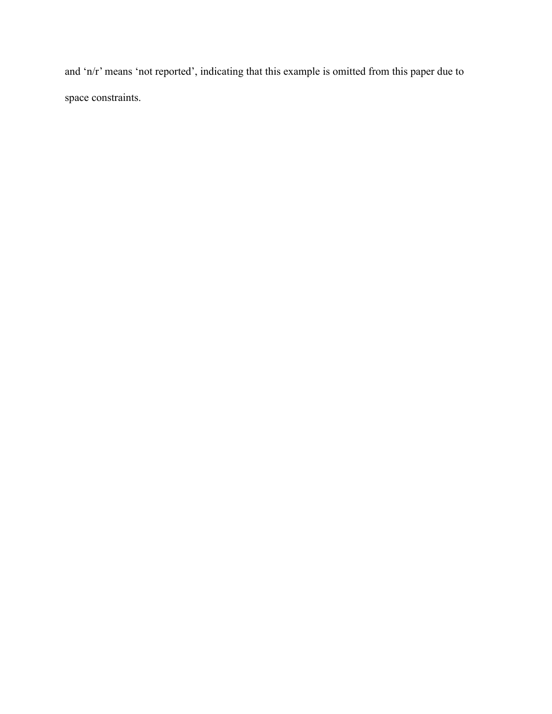and 'n/r' means 'not reported', indicating that this example is omitted from this paper due to space constraints.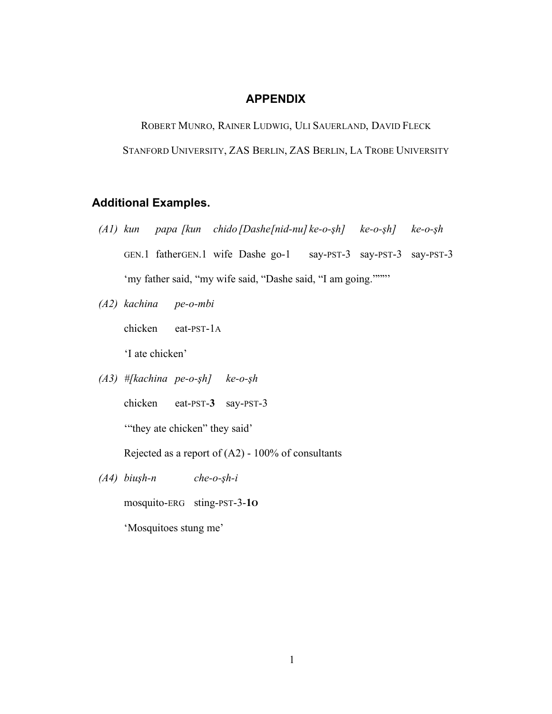#### **APPENDIX**

ROBERT MUNRO, RAINER LUDWIG, ULI SAUERLAND, DAVID FLECK STANFORD UNIVERSITY, ZAS BERLIN, ZAS BERLIN, LA TROBE UNIVERSITY

## **Additional Examples.**

- *(A1) kun papa [kun chido [Dashe[nid-nu] ke-o-!h] ke-o-!h] ke-o-!h* GEN.1 fatherGEN.1 wife Dashe go-1 say-PST-3 say-PST-3 say-PST-3 'my father said, "my wife said, "Dashe said, "I am going.""""
- *(A2) kachina pe-o-mbi*

chicken eat-PST-1A

'I ate chicken'

 $(A3)$  #[kachina pe-o- $\varsigma$ h] ke-o- $\varsigma$ h

chicken eat-PST-**3** say-PST-3

'"they ate chicken" they said'

Rejected as a report of (A2) - 100% of consultants

 $(A4)$  *biu*<sub>s</sub> $h-n$  *che-o-sh-i* 

mosquito-ERG sting-PST-3-**1O**

'Mosquitoes stung me'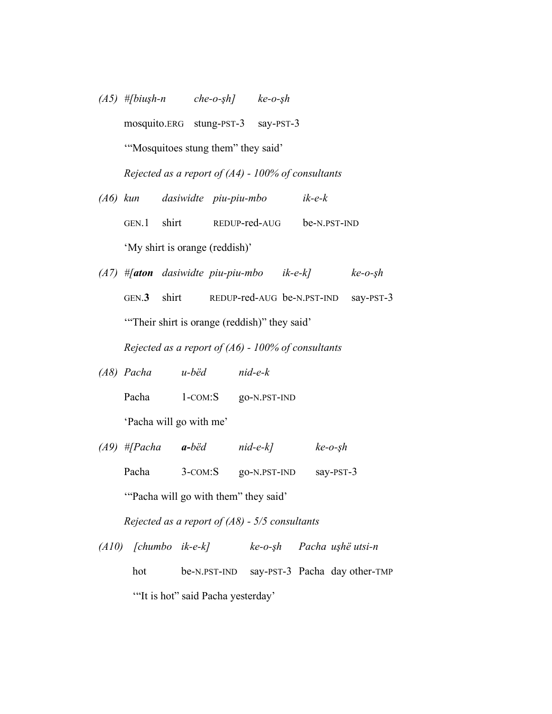- $(A5)$  #[biu*şh-n che-o-sh] ke-o-<sub><i>sh*</sub> mosquito.ERG stung-PST-3 say-PST-3 '"Mosquitoes stung them" they said' *Rejected as a report of (A4) - 100% of consultants (A6) kun dasiwidte piu-piu-mbo ik-e-k*
- GEN.1 shirt REDUP-red-AUG be-N.PST-IND 'My shirt is orange (reddish)'
- *(A7)*  $#$ [*aton* dasiwidte piu-piu-mbo *ik-e-k*] *ke-o-sh* GEN.**3** shirt REDUP-red-AUG be-N.PST-IND say-PST-3 '"Their shirt is orange (reddish)" they said'

*Rejected as a report of (A6) - 100% of consultants*

- *(A8) Pacha u-bëd nid-e-k* Pacha 1-COM:S go-N.PST-IND 'Pacha will go with me'
- $(A9)$  #[Pacha **a-**bëd nid-e-k] ke-o-sh Pacha 3-COM:S go-N.PST-IND say-PST-3

'"Pacha will go with them" they said'

*Rejected as a report of (A8) - 5/5 consultants*

*(A10) [chumbo ik-e-k] ke-o-!h Pacha u!hë utsi-n* hot be-N.PST-IND say-PST-3 Pacha day other-TMP '"It is hot" said Pacha yesterday'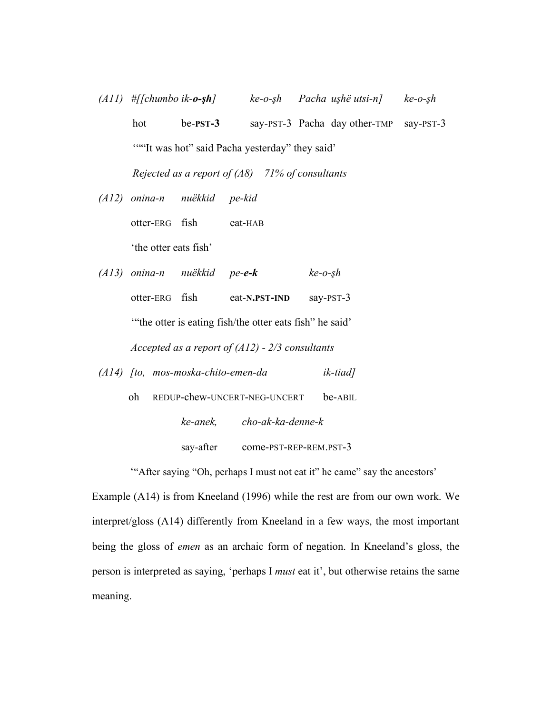- $(A11)$  #[[chumbo *ik-o-sh*] *ke-o-sh Pacha ushë utsi-n] ke-o-sh* hot be-**PST-3** say-PST-3 Pacha day other-TMP say-PST-3 ""It was hot" said Pacha yesterday" they said" *Rejected as a report of (A8) – 71% of consultants*
- *(A12) onina-n nuëkkid pe-kid*

otter-ERG fish eat-HAB

'the otter eats fish'

- *(A13) onina-n nuëkkid pe-e-k ke-o-!h* otter-ERG fish eat-**N.PST-IND** say-PST-3 '"the otter is eating fish/the otter eats fish" he said' *Accepted as a report of (A12) - 2/3 consultants*
- *(A14) [to, mos-moska-chito-emen-da ik-tiad]*
	- oh REDUP-chew-UNCERT-NEG-UNCERT be-ABIL *ke-anek, cho-ak-ka-denne-k* say-after come-PST-REP-REM.PST-3

'"After saying "Oh, perhaps I must not eat it" he came" say the ancestors'

Example (A14) is from Kneeland (1996) while the rest are from our own work. We interpret/gloss (A14) differently from Kneeland in a few ways, the most important being the gloss of *emen* as an archaic form of negation. In Kneeland's gloss, the person is interpreted as saying, 'perhaps I *must* eat it', but otherwise retains the same meaning.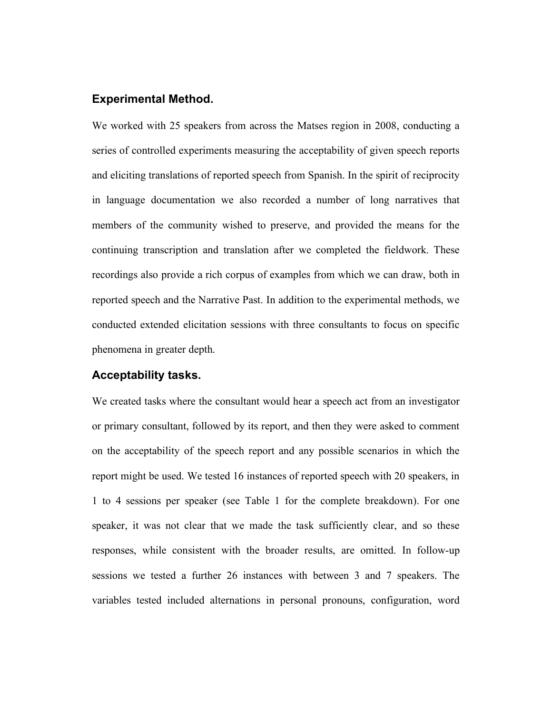## **Experimental Method.**

We worked with 25 speakers from across the Matses region in 2008, conducting a series of controlled experiments measuring the acceptability of given speech reports and eliciting translations of reported speech from Spanish. In the spirit of reciprocity in language documentation we also recorded a number of long narratives that members of the community wished to preserve, and provided the means for the continuing transcription and translation after we completed the fieldwork. These recordings also provide a rich corpus of examples from which we can draw, both in reported speech and the Narrative Past. In addition to the experimental methods, we conducted extended elicitation sessions with three consultants to focus on specific phenomena in greater depth.

## **Acceptability tasks.**

We created tasks where the consultant would hear a speech act from an investigator or primary consultant, followed by its report, and then they were asked to comment on the acceptability of the speech report and any possible scenarios in which the report might be used. We tested 16 instances of reported speech with 20 speakers, in 1 to 4 sessions per speaker (see Table 1 for the complete breakdown). For one speaker, it was not clear that we made the task sufficiently clear, and so these responses, while consistent with the broader results, are omitted. In follow-up sessions we tested a further 26 instances with between 3 and 7 speakers. The variables tested included alternations in personal pronouns, configuration, word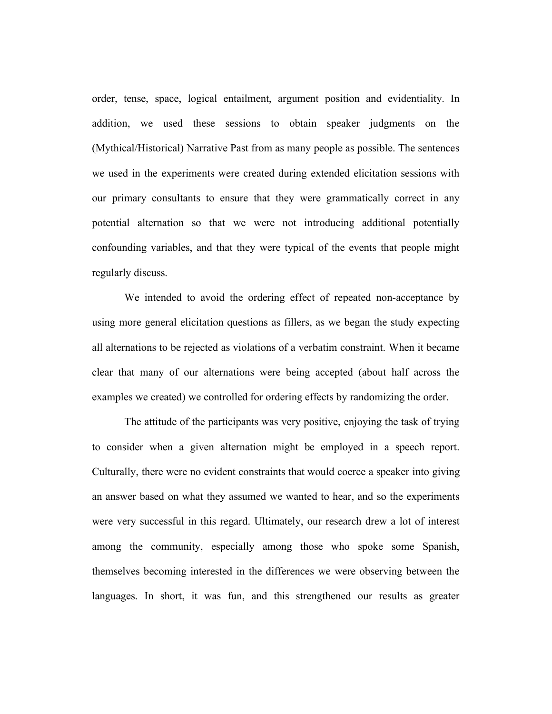order, tense, space, logical entailment, argument position and evidentiality. In addition, we used these sessions to obtain speaker judgments on the (Mythical/Historical) Narrative Past from as many people as possible. The sentences we used in the experiments were created during extended elicitation sessions with our primary consultants to ensure that they were grammatically correct in any potential alternation so that we were not introducing additional potentially confounding variables, and that they were typical of the events that people might regularly discuss.

We intended to avoid the ordering effect of repeated non-acceptance by using more general elicitation questions as fillers, as we began the study expecting all alternations to be rejected as violations of a verbatim constraint. When it became clear that many of our alternations were being accepted (about half across the examples we created) we controlled for ordering effects by randomizing the order.

The attitude of the participants was very positive, enjoying the task of trying to consider when a given alternation might be employed in a speech report. Culturally, there were no evident constraints that would coerce a speaker into giving an answer based on what they assumed we wanted to hear, and so the experiments were very successful in this regard. Ultimately, our research drew a lot of interest among the community, especially among those who spoke some Spanish, themselves becoming interested in the differences we were observing between the languages. In short, it was fun, and this strengthened our results as greater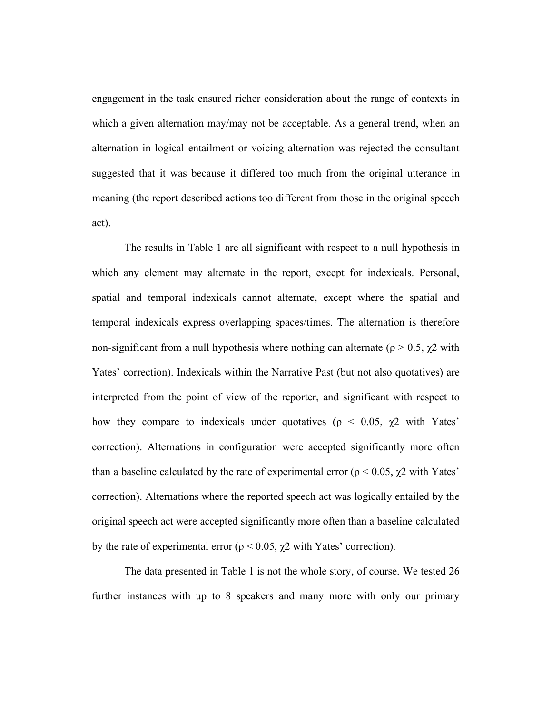engagement in the task ensured richer consideration about the range of contexts in which a given alternation may/may not be acceptable. As a general trend, when an alternation in logical entailment or voicing alternation was rejected the consultant suggested that it was because it differed too much from the original utterance in meaning (the report described actions too different from those in the original speech act).

The results in Table 1 are all significant with respect to a null hypothesis in which any element may alternate in the report, except for indexicals. Personal, spatial and temporal indexicals cannot alternate, except where the spatial and temporal indexicals express overlapping spaces/times. The alternation is therefore non-significant from a null hypothesis where nothing can alternate ( $\rho > 0.5$ ,  $\gamma$ 2 with Yates' correction). Indexicals within the Narrative Past (but not also quotatives) are interpreted from the point of view of the reporter, and significant with respect to how they compare to indexicals under quotatives ( $\rho < 0.05$ ,  $\chi$ 2 with Yates' correction). Alternations in configuration were accepted significantly more often than a baseline calculated by the rate of experimental error ( $\rho$  < 0.05,  $\gamma$ 2 with Yates' correction). Alternations where the reported speech act was logically entailed by the original speech act were accepted significantly more often than a baseline calculated by the rate of experimental error ( $\rho$  < 0.05,  $\chi$ 2 with Yates' correction).

The data presented in Table 1 is not the whole story, of course. We tested 26 further instances with up to 8 speakers and many more with only our primary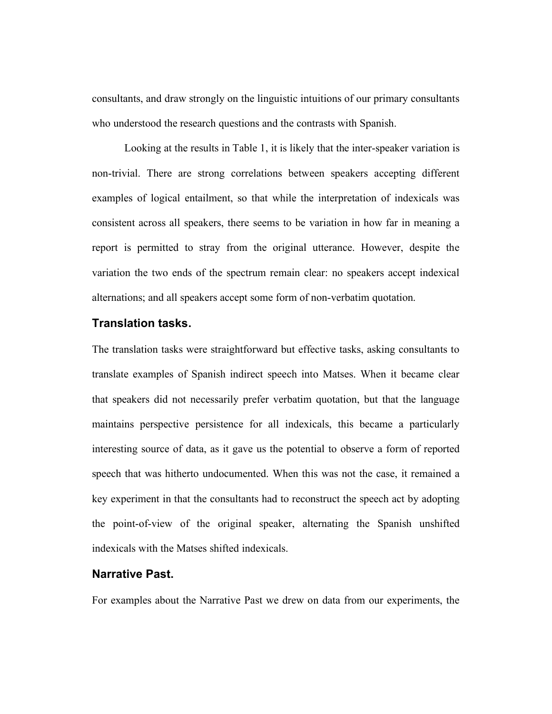consultants, and draw strongly on the linguistic intuitions of our primary consultants who understood the research questions and the contrasts with Spanish.

Looking at the results in Table 1, it is likely that the inter-speaker variation is non-trivial. There are strong correlations between speakers accepting different examples of logical entailment, so that while the interpretation of indexicals was consistent across all speakers, there seems to be variation in how far in meaning a report is permitted to stray from the original utterance. However, despite the variation the two ends of the spectrum remain clear: no speakers accept indexical alternations; and all speakers accept some form of non-verbatim quotation.

## **Translation tasks.**

The translation tasks were straightforward but effective tasks, asking consultants to translate examples of Spanish indirect speech into Matses. When it became clear that speakers did not necessarily prefer verbatim quotation, but that the language maintains perspective persistence for all indexicals, this became a particularly interesting source of data, as it gave us the potential to observe a form of reported speech that was hitherto undocumented. When this was not the case, it remained a key experiment in that the consultants had to reconstruct the speech act by adopting the point-of-view of the original speaker, alternating the Spanish unshifted indexicals with the Matses shifted indexicals.

## **Narrative Past.**

For examples about the Narrative Past we drew on data from our experiments, the